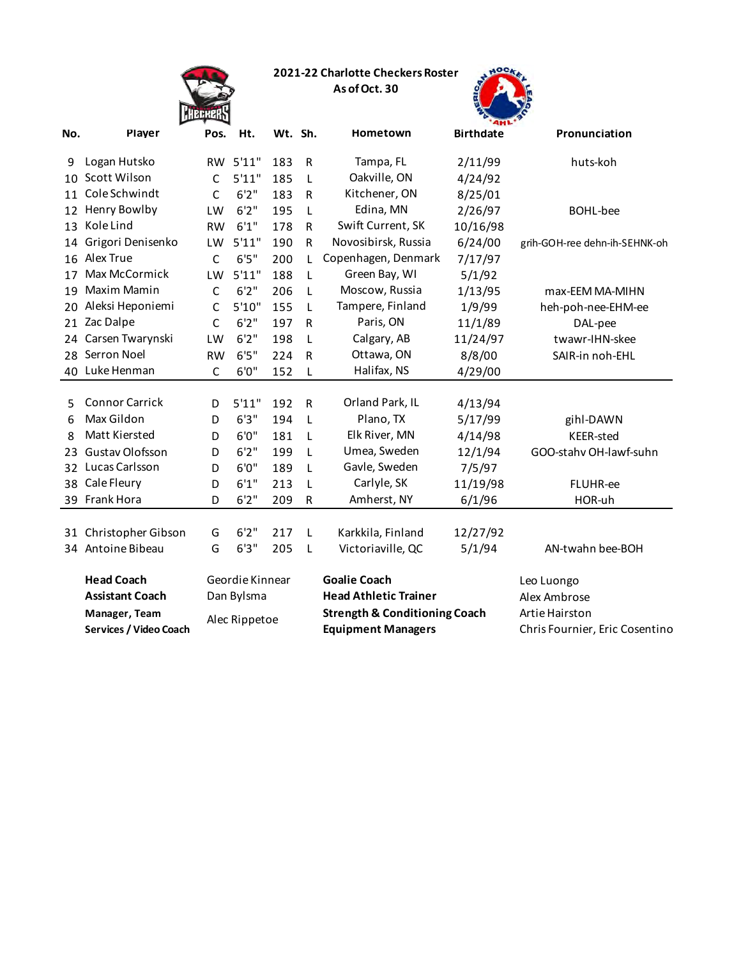|     |                                            | <b>CHECKER</b> |                 |         |                  | 2021-22 Charlotte Checkers Roster<br>As of Oct. 30 | HOCK               |                                |  |
|-----|--------------------------------------------|----------------|-----------------|---------|------------------|----------------------------------------------------|--------------------|--------------------------------|--|
| No. | Player                                     | Pos.           | Ht.             | Wt. Sh. |                  | Hometown                                           | <b>Birthdate</b>   | Pronunciation                  |  |
| 9   | Logan Hutsko                               | <b>RW</b>      | 5'11"           | 183     | ${\sf R}$        | Tampa, FL                                          | 2/11/99            | huts-koh                       |  |
| 10  | <b>Scott Wilson</b>                        | $\mathsf{C}$   | 5'11"           | 185     | L                | Oakville, ON                                       | 4/24/92            |                                |  |
| 11  | Cole Schwindt                              | C              | 6'2''           | 183     | $\mathsf{R}$     | Kitchener, ON                                      | 8/25/01            |                                |  |
| 12  | Henry Bowlby                               | LW             | 6'2''           | 195     | L                | Edina, MN                                          | 2/26/97            | <b>BOHL-bee</b>                |  |
| 13  | Kole Lind                                  | <b>RW</b>      | 6'1''           | 178     | R                | Swift Current, SK                                  | 10/16/98           |                                |  |
| 14  | Grigori Denisenko                          | LW.            | 5'11"           | 190     | R                | Novosibirsk, Russia                                | 6/24/00            | grih-GOH-ree dehn-ih-SEHNK-oh  |  |
| 16  | Alex True                                  | $\mathsf{C}$   | 6'5''           | 200     | L                | Copenhagen, Denmark                                | 7/17/97            |                                |  |
| 17  | Max McCormick<br>LW                        |                | 5'11"           | 188     | L                | Green Bay, WI                                      | 5/1/92             |                                |  |
| 19  | 6'2''<br>Maxim Mamin<br>$\mathsf{C}$       |                |                 | 206     | L                | Moscow, Russia                                     | 1/13/95            | max-EEM MA-MIHN                |  |
| 20  | Aleksi Heponiemi<br>$\mathsf{C}$<br>5'10'' |                | 155             | L       | Tampere, Finland | 1/9/99                                             | heh-poh-nee-EHM-ee |                                |  |
| 21  | Zac Dalpe<br>6'2''<br>$\mathsf{C}$         |                |                 | 197     | ${\sf R}$        | Paris, ON                                          | 11/1/89            | DAL-pee                        |  |
| 24  | Carsen Twarynski                           | LW             | 6'2''           | 198     | L                | Calgary, AB                                        | 11/24/97           | twawr-IHN-skee                 |  |
| 28  | Serron Noel                                | <b>RW</b>      | 6'5''           | 224     | ${\sf R}$        | Ottawa, ON                                         | 8/8/00             | SAIR-in noh-EHL                |  |
|     | 40 Luke Henman                             | C              | 6'0"            | 152     | L                | Halifax, NS                                        | 4/29/00            |                                |  |
|     |                                            |                |                 |         |                  |                                                    |                    |                                |  |
| 5   | <b>Connor Carrick</b>                      | D              | 5'11"           | 192     | ${\sf R}$        | Orland Park, IL                                    | 4/13/94            |                                |  |
| 6   | Max Gildon                                 | D              | 6'3''           | 194     | L                | Plano, TX                                          | 5/17/99            | gihl-DAWN                      |  |
| 8   | Matt Kiersted                              | D              | 6'0''           | 181     | L                | Elk River, MN                                      | 4/14/98            | <b>KEER-sted</b>               |  |
| 23  | <b>Gustav Olofsson</b>                     | D              | 6'2''           | 199     | L                | Umea, Sweden                                       | 12/1/94            | GOO-stahv OH-lawf-suhn         |  |
| 32  | Lucas Carlsson                             | D              | 6'0''           | 189     | L                | Gavle, Sweden                                      | 7/5/97             |                                |  |
| 38  | Cale Fleury                                | D              | 6'1''           | 213     | L                | Carlyle, SK                                        | 11/19/98           | <b>FLUHR-ee</b>                |  |
|     | 39 Frank Hora                              | D              | 6'2''           | 209     | ${\sf R}$        | Amherst, NY                                        | 6/1/96             | HOR-uh                         |  |
|     |                                            |                |                 |         |                  |                                                    |                    |                                |  |
|     | 31 Christopher Gibson                      | G              | 6'2''           | 217     | L                | Karkkila, Finland                                  | 12/27/92           |                                |  |
|     | 34 Antoine Bibeau                          | G              | 6'3''           | 205     | $\mathsf{L}$     | Victoriaville, QC                                  | 5/1/94             | AN-twahn bee-BOH               |  |
|     | <b>Head Coach</b>                          |                | Geordie Kinnear |         |                  | <b>Goalie Coach</b>                                | Leo Luongo         |                                |  |
|     | <b>Assistant Coach</b>                     |                | Dan Bylsma      |         |                  | <b>Head Athletic Trainer</b>                       |                    | Alex Ambrose                   |  |
|     | Manager, Team                              |                |                 |         |                  | <b>Strength &amp; Conditioning Coach</b>           |                    | Artie Hairston                 |  |
|     | Services / Video Coach                     |                | Alec Rippetoe   |         |                  | <b>Equipment Managers</b>                          |                    | Chris Fournier, Eric Cosentino |  |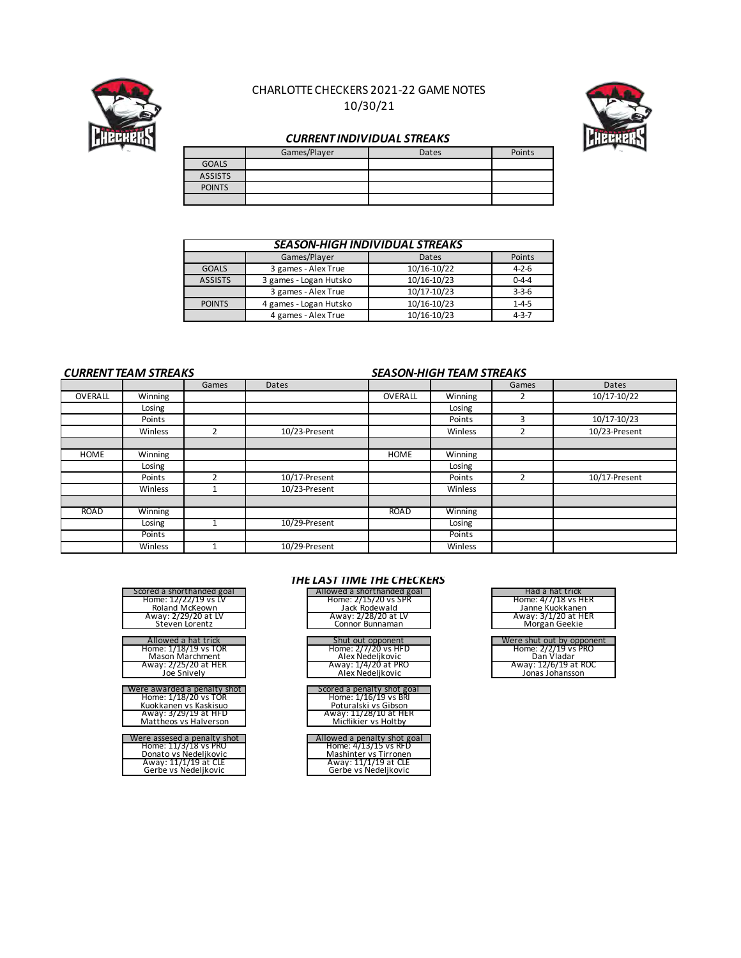

#### CHARLOTTE CHECKERS 2021-22 GAME NOTES 10/30/21



#### *CURRENT INDIVIDUAL STREAKS*

|                | Games/Player | Dates | Points |
|----------------|--------------|-------|--------|
| <b>GOALS</b>   |              |       |        |
| <b>ASSISTS</b> |              |       |        |
| <b>POINTS</b>  |              |       |        |
|                |              |       |        |

|                | <b>SEASON-HIGH INDIVIDUAL STREAKS</b> |             |             |  |  |  |  |  |  |  |  |  |  |
|----------------|---------------------------------------|-------------|-------------|--|--|--|--|--|--|--|--|--|--|
|                | Games/Player                          | Dates       | Points      |  |  |  |  |  |  |  |  |  |  |
| <b>GOALS</b>   | 3 games - Alex True                   | 10/16-10/22 | $4 - 2 - 6$ |  |  |  |  |  |  |  |  |  |  |
| <b>ASSISTS</b> | 3 games - Logan Hutsko                | 10/16-10/23 | $0 - 4 - 4$ |  |  |  |  |  |  |  |  |  |  |
|                | 3 games - Alex True                   | 10/17-10/23 | $3 - 3 - 6$ |  |  |  |  |  |  |  |  |  |  |
| <b>POINTS</b>  | 4 games - Logan Hutsko                | 10/16-10/23 | $1 - 4 - 5$ |  |  |  |  |  |  |  |  |  |  |
|                | 4 games - Alex True                   | 10/16-10/23 | $4 - 3 - 7$ |  |  |  |  |  |  |  |  |  |  |

#### *CURRENT TEAM STREAKS SEASON-HIGH TEAM STREAKS* Games Dates Games OVERALL Winning OVERALL Winning 2 Losing **Losing Accounts and Accounts** Losing Losing Accounts and Accounts and Accounts and Accounts and Accounts a Points | Note | Note | Note | Note | Note | Note | Note | Note | Note | Note | Note | Note | Note | Note | Note | Note | Note | Note | Note | Note | Note | Note | Note | Note | Note | Note | Note | Note | Note | Note | Not Winless 2 Winless 2 10/23-Present HOME Winning HOME Winning Losing **Losing Accounts and Accounts** Losing Losing Accounts and Accounts and Accounts and Accounts and Accounts a Points 2 10/17-Present Points 2<br>Winless 1 10/23-Present Winless 2 Winless 1 1 10/23-Present 1 Winless ROAD Winning Note that the ROAD Winning Losing 1 1 10/29-Present 1 Losing Points Points Points Points Points Points Points Points Points Points Points Points Points Points Points Points Winless 1 1 10/29-Present 1 Winless Dates 10/17-10/22 10/17-Present 10/17-Present 10/17-10/23 10/23-Present

| Scored a shorthanded goal   | Allowed a shorthanded g  |
|-----------------------------|--------------------------|
| Home: 12/22/19 vs LV        | Home: 2/15/20 vs SPF     |
| Roland McKeown              | Jack Rodewald            |
| Away: 2/29/20 at LV         | Away: 2/28/20 at LV      |
| Steven Lorentz              | Connor Bunnaman          |
|                             |                          |
| Allowed a hat trick         | Shut out opponent        |
| Home: 1/18/19 vs TOR        | Home: 2/7/20 vs HFD      |
| Mason Marchment             | Alex Nedelikovic         |
| Away: 2/25/20 at HER        | Away: 1/4/20 at PRO      |
| Joe Snivelv                 | Alex Nedelikovic         |
|                             |                          |
| Were awarded a penalty shot | Scored a penalty shot go |
| Home: 1/18/20 vs TOR        | Home: 1/16/19 vs BRI     |
| Kuokkanen vs Kaskisuo       | Poturalski vs Gibson     |
| Away: 3/29/19 at HFD        | Away: 11/28/10 at HE     |
| Mattheos vs Halverson       | Micflikier vs Holtby     |
| Were assesed a penalty shot | Allowed a penalty shot g |
| Home: 11/3/18 vs PRO        | Home: 4/13/15 vs RFD     |
| Donato vs Nedelikovic       | Mashinter vs Tirroner    |
| Away: 11/1/19 at CLE        | Away: 11/1/19 at CLE     |
|                             |                          |
| Gerbe vs Nedelikovic        | Gerbe vs Nedeljkovic     |

#### *THE LAST TIME THE CHECKERS*

| Scored a shorthanded goal<br>Home: 12/22/19 vs LV<br>Roland McKeown<br>Away: 2/29/20 at LV<br>Steven Lorentz                 | Allowed a shorthanded goal<br>Home: 2/15/20 vs SPR<br>Jack Rodewald<br>Away: 2/28/20 at LV<br>Connor Bunnaman               | Had a hat trick<br>Home: 4/7/18 vs HER<br>Janne Kuokkanen<br>Away: 3/1/20 at HER<br>Morgan Geekie         |
|------------------------------------------------------------------------------------------------------------------------------|-----------------------------------------------------------------------------------------------------------------------------|-----------------------------------------------------------------------------------------------------------|
| Allowed a hat trick<br>Home: 1/18/19 vs TOR<br>Mason Marchment<br>Away: 2/25/20 at HER<br>Joe Snively                        | Shut out opponent<br>Home: 2/7/20 vs HFD<br>Alex Nedeljkovic<br>Away: 1/4/20 at PRO<br>Alex Nedelikovic                     | Were shut out by opponent<br>Home: 2/2/19 vs PRO<br>Dan Vladar<br>Away: 12/6/19 at ROC<br>Jonas Johansson |
| ere awarded a penalty shot<br>Home: 1/18/20 vs TOR<br>Kuokkanen vs Kaskisuo<br>Away: 3/29/19 at HFD<br>Mattheos vs Halverson | Scored a penalty shot goal<br>Home: 1/16/19 vs BRI<br>Poturalski vs Gibson<br>Away: 11/28/10 at HER<br>Micflikier vs Holtby |                                                                                                           |
| Vere assesed a penalty shot<br>Home: 11/3/18 vs PRO<br>Donato ve Nodolikovic                                                 | Allowed a penalty shot goal<br>Home: 4/13/15 vs RFD<br>Machintor ye Tirronon                                                |                                                                                                           |

| Mashinter vs Tirronen |
|-----------------------|
| Away: 11/1/19 at CLE  |
| Gerbe vs Nedelikovic  |

| Had a hat trick          |  |
|--------------------------|--|
| Home: 4/7/18 vs HER      |  |
| Janne Kuokkanen          |  |
| Away: 3/1/20 at HER      |  |
| Morgan Geekie            |  |
|                          |  |
| Nara shut out by opponer |  |

| <b>VVELE SHUL OUL DY OPPOHEIIL</b> |
|------------------------------------|
| Home: 2/2/19 vs PRO                |
| Dan Vladar                         |
| Away: 12/6/19 at ROC               |
| Jonas Johansson                    |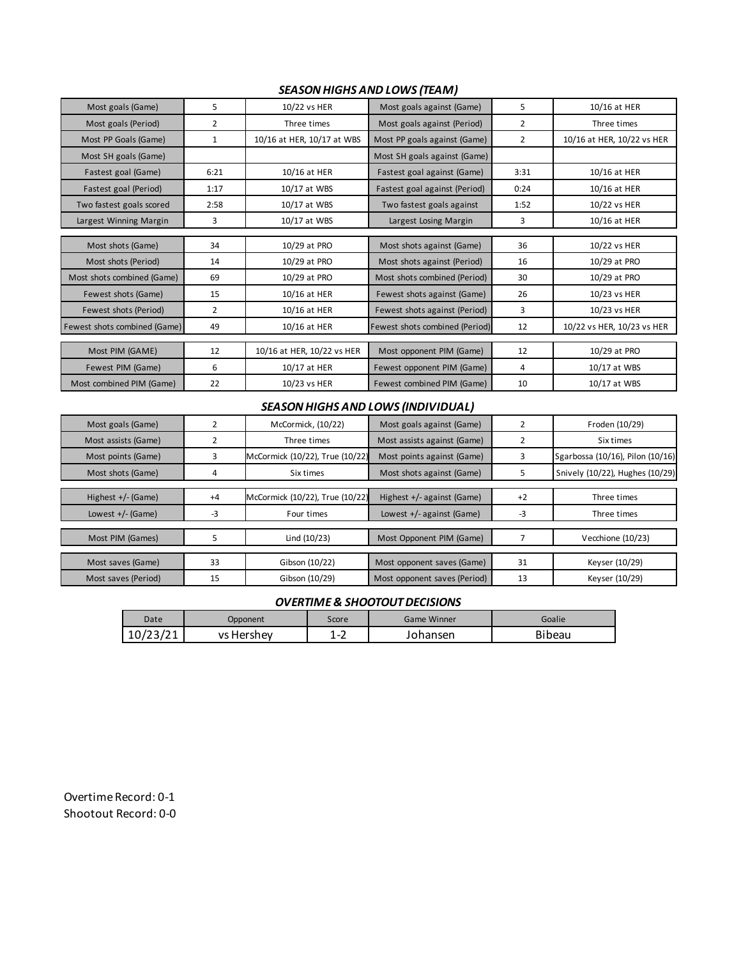#### *SEASON HIGHS AND LOWS (TEAM)*

| Most goals (Game)            | 5              | 10/22 vs HER               | Most goals against (Game)      | 5    | 10/16 at HER               |
|------------------------------|----------------|----------------------------|--------------------------------|------|----------------------------|
| Most goals (Period)          | $\overline{2}$ | Three times                | Most goals against (Period)    | 2    | Three times                |
| Most PP Goals (Game)         | $\mathbf{1}$   | 10/16 at HER, 10/17 at WBS | Most PP goals against (Game)   | 2    | 10/16 at HER, 10/22 vs HER |
| Most SH goals (Game)         |                |                            | Most SH goals against (Game)   |      |                            |
| Fastest goal (Game)          | 6:21           | 10/16 at HER               | Fastest goal against (Game)    | 3:31 | 10/16 at HER               |
| Fastest goal (Period)        | 1:17           | 10/17 at WBS               | Fastest goal against (Period)  | 0:24 | 10/16 at HER               |
| Two fastest goals scored     | 2:58           | 10/17 at WBS               | Two fastest goals against      | 1:52 | 10/22 vs HER               |
| Largest Winning Margin       | 3              | 10/17 at WBS               | Largest Losing Margin          | 3    | 10/16 at HER               |
|                              |                |                            |                                |      |                            |
| Most shots (Game)            | 34             | 10/29 at PRO               | Most shots against (Game)      | 36   | 10/22 vs HER               |
| Most shots (Period)          | 14             | 10/29 at PRO               | Most shots against (Period)    | 16   | 10/29 at PRO               |
| Most shots combined (Game)   | 69             | 10/29 at PRO               | Most shots combined (Period)   | 30   | 10/29 at PRO               |
| Fewest shots (Game)          | 15             | 10/16 at HER               | Fewest shots against (Game)    | 26   | 10/23 vs HER               |
| Fewest shots (Period)        | 2              | 10/16 at HER               | Fewest shots against (Period)  | 3    | 10/23 vs HER               |
| Fewest shots combined (Game) | 49             | 10/16 at HER               | Fewest shots combined (Period) | 12   | 10/22 vs HER, 10/23 vs HER |
|                              |                |                            |                                |      |                            |
| Most PIM (GAME)              | 12             | 10/16 at HER, 10/22 vs HER | Most opponent PIM (Game)       | 12   | 10/29 at PRO               |
| Fewest PIM (Game)            | 6              | 10/17 at HER               | Fewest opponent PIM (Game)     | 4    | 10/17 at WBS               |
| Most combined PIM (Game)     | 22             | 10/23 vs HER               | Fewest combined PIM (Game)     | 10   | 10/17 at WBS               |

#### *SEASON HIGHS AND LOWS (INDIVIDUAL)*

| Most goals (Game)   |      | McCormick, (10/22)              | Most goals against (Game)    |      | Froden (10/29)                   |
|---------------------|------|---------------------------------|------------------------------|------|----------------------------------|
| Most assists (Game) |      | Three times                     | Most assists against (Game)  |      | Six times                        |
| Most points (Game)  | 3    | McCormick (10/22), True (10/22) | Most points against (Game)   | 3    | Sgarbossa (10/16), Pilon (10/16) |
| Most shots (Game)   | 4    | Six times                       | Most shots against (Game)    | 5    | Snively (10/22), Hughes (10/29)  |
|                     |      |                                 |                              |      |                                  |
| Highest +/- (Game)  | $+4$ | McCormick (10/22), True (10/22) | Highest +/- against (Game)   | $+2$ | Three times                      |
| Lowest $+/-$ (Game) | -3   | Four times                      | Lowest $+/-$ against (Game)  | -3   | Three times                      |
|                     |      |                                 |                              |      |                                  |
| Most PIM (Games)    |      | Lind (10/23)                    | Most Opponent PIM (Game)     |      | Vecchione (10/23)                |
|                     |      |                                 |                              |      |                                  |
| Most saves (Game)   | 33   | Gibson (10/22)                  | Most opponent saves (Game)   | 31   | Keyser (10/29)                   |
| Most saves (Period) | 15   | Gibson (10/29)                  | Most opponent saves (Period) | 13   | Keyser (10/29)                   |

#### *OVERTIME & SHOOTOUT DECISIONS*

| Date   | Opponent   | Score | <b>Game Winner</b> | Goalie        |  |  |  |
|--------|------------|-------|--------------------|---------------|--|--|--|
| 10/23/ | vs Hershey | ∽     | Johansen           | <b>Bibeau</b> |  |  |  |

Overtime Record: 0-1 Shootout Record: 0-0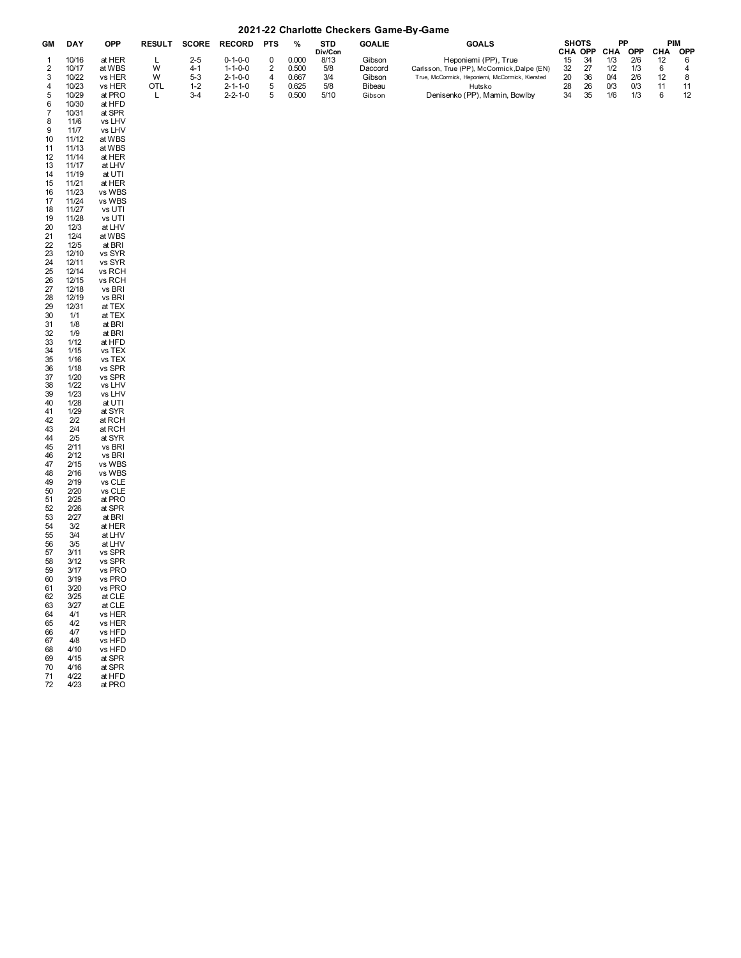#### **2021-22 Charlotte Checkers Game-By-Game**

| GМ     | DAY   | OPP    | <b>RESULT</b> | <b>SCORE</b> | <b>RECORD</b>   | <b>PTS</b> |       | STD     | <b>GOALIE</b> | <b>GOALS</b>                                    |    | <b>SHOTS</b> | <b>PP</b>  |            | PIM |            |
|--------|-------|--------|---------------|--------------|-----------------|------------|-------|---------|---------------|-------------------------------------------------|----|--------------|------------|------------|-----|------------|
|        |       |        |               |              |                 |            |       | Div/Con |               |                                                 |    | CHA OPP      | <b>CHA</b> | <b>OPP</b> | CHA | <b>OPP</b> |
|        | 10/16 | at HER |               | 2-5          | $0 - 1 - 0 - 0$ |            | 0.000 | 8/13    | Gibson        | Heponiemi (PP), True                            | 15 | 34           | 1/3        | 2/6        |     |            |
|        | 10/17 | at WBS | W             |              | $1 - 1 - 0 - 0$ |            | 0.500 | 5/8     | Daccord       | Carlsson, True (PP), McCormick, Dalpe (EN)      | 32 |              | 1/2        | 1/3        |     |            |
|        | 10/22 | vs HER | W             | $5-3$        | $2 - 1 - 0 - 0$ |            | 0.667 | 3/4     | Gibson        | True, McCormick, Heponiemi, McCormick, Kiersted | 20 | 36           | 0/4        | 2/6        |     |            |
|        | 10/23 | vs HER | OTL           | 1-2          | $2 - 1 - 1 - 0$ |            | 0.625 | 5/8     | Bibeau        | Hutsko                                          | 28 | 26           | 0/3        | 0/3        |     |            |
|        | 10/29 | at PRO |               | 3-4          | $2 - 2 - 1 - 0$ |            | 0.500 | 5/10    | Gibson        | Denisenko (PP), Mamin, Bowlby                   | 34 | 35           | 1/6        | 1/3        |     |            |
| $\sim$ | .     | .      |               |              |                 |            |       |         |               |                                                 |    |              |            |            |     |            |

| at HFD<br>at SPR<br>vs LHV<br>vs Ll<br>ł۷<br>WBS<br>at<br>at WBS<br>at HER<br>at Ll<br>ł۷<br>at UTI<br>at HER<br>vs WBS<br>vs WBS<br>vs UTI<br>vs UTI<br>at L<br>HV.<br>at WBS<br>at BRI<br>vs SYR<br>vs SYR<br>vs RCH<br>vs RCH<br>vs BRI<br>vs BRI<br>TEX<br>at<br>at TEX<br>at BRI<br>at BRI<br>at HFD<br>TEX<br>vs TEX<br>vs TEX<br>vs SPR<br>vs SPR<br>vs LHV<br>vs LHV<br>at UTI<br>at SYR<br>at RCH<br>at RCH<br>at SYR<br>vs BRI<br>vs BRI<br>vs WBS<br>vs WBS<br>vs CLE<br>vs CLE<br>at PRO<br>at SPR<br>at BRI<br>at HER<br>at LHV<br>at LHV<br>vs SPR<br><b>SPR</b><br>vs<br>vs PRO<br>vs PRO<br>vs PRO<br>at CLE<br>at CLE<br>VS<br>HER<br>vs HER<br>vs HFD<br>vs HFI<br>C<br>vs HFD<br>at SPR<br>at SPR<br>at HFD<br>at PRO |
|------------------------------------------------------------------------------------------------------------------------------------------------------------------------------------------------------------------------------------------------------------------------------------------------------------------------------------------------------------------------------------------------------------------------------------------------------------------------------------------------------------------------------------------------------------------------------------------------------------------------------------------------------------------------------------------------------------------------------------------|
| 10/30<br>10/31<br>11/6<br>11/7<br>11/12<br>11/13<br>11/14<br>11/17<br>11/19<br>11/21<br>11/23<br>11/24<br>11/27<br>11/28<br>12/3<br>12/4<br>12/5<br>12/10<br>12/11<br>12/14<br>12/15<br>12/18<br>12/19<br>12/31<br>1/1<br>1/8<br>1/9<br>1/12<br>1/15<br>1/16<br>1/18<br>1/20<br>1/22<br>1/23<br>1/28<br>1/29<br>2/2<br>2/4<br>2/5<br>2/11<br>2/12<br>2/15<br>2/16<br>2/19<br>2/20<br>2/25<br>2/26<br>2/27<br>3/2<br>3/4<br>3/5<br>3/11<br>3/12<br>3/17<br>3/19<br>3/20<br>3/25<br>3/27<br>4/1<br>4/2<br>4/7<br>4/8<br>4/10<br>4/15<br>4/16<br>4/22<br>4/23                                                                                                                                                                               |
| 6<br>7<br>8<br>9<br>10<br>11<br>12<br>13<br>14<br>15<br>16<br>17<br>18<br>19<br>20<br>21<br>22<br>23<br>24<br>25<br>26<br>27<br>28<br>29<br>30<br>31<br>32<br>33<br>34<br>35<br>36<br>37<br>38<br>39<br>40<br>41<br>42<br>43<br>44<br>45<br>46<br>47<br>48<br>49<br>50<br>51<br>52<br>53<br>54<br>55<br>56<br>57<br>58<br>59<br>60<br>61<br>62<br>63<br>64<br>65<br>66<br>67<br>68<br>69<br>70<br>71<br>72                                                                                                                                                                                                                                                                                                                               |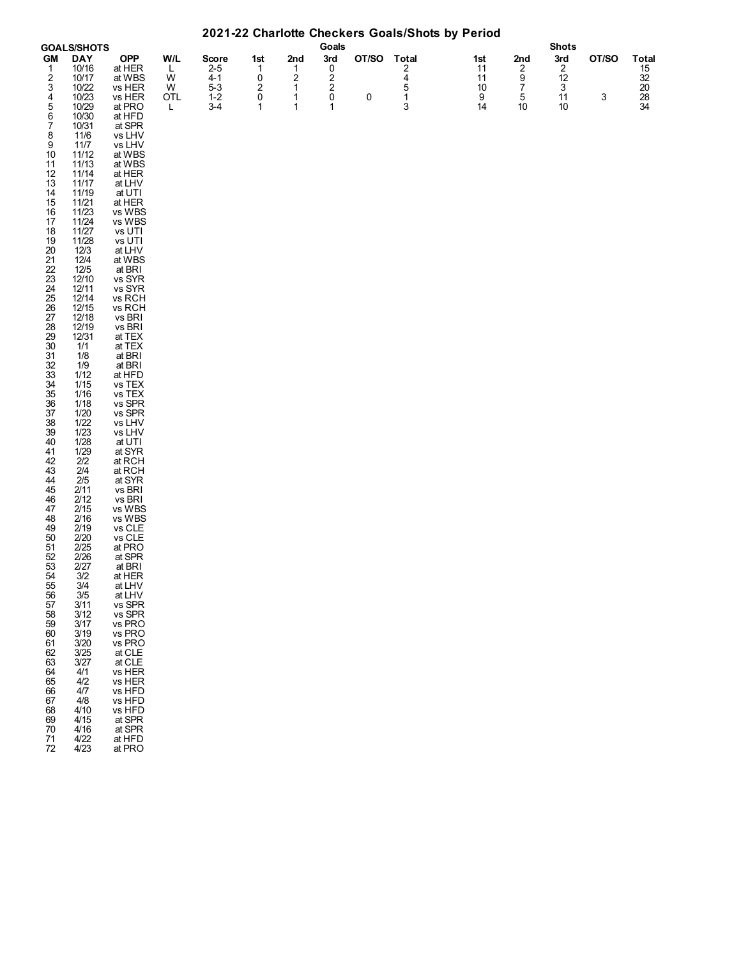|                | <b>GOALS/SHOTS</b>  |                      |          |                         |              |                         | Goals            |             |                         |           |               | <b>Shots</b>          |       |                                                       |
|----------------|---------------------|----------------------|----------|-------------------------|--------------|-------------------------|------------------|-------------|-------------------------|-----------|---------------|-----------------------|-------|-------------------------------------------------------|
| <b>GM</b><br>1 | <b>DAY</b><br>10/16 | <b>OPP</b><br>at HER | W/L<br>L | <b>Score</b><br>$2 - 5$ | 1st<br>1     | 2nd<br>1                | 3rd<br>$\pmb{0}$ | OT/SO Total | 2                       | 1st<br>11 | 2nd<br>2      | 3rd<br>$\overline{2}$ | OT/SO | $\begin{array}{c}\n\textbf{Total} \\ 15\n\end{array}$ |
| 2              | 10/17               | at WBS               | W        | $4 - 1$                 | 0            | $\overline{\mathbf{c}}$ | $\overline{2}$   |             | $\overline{\mathbf{4}}$ | 11        |               | 12                    |       | $32\,$                                                |
| 3              | 10/22               | vs HER               | W        | $5 - 3$                 | 2            | 1                       | $\boldsymbol{2}$ |             | 5                       | 10        | $\frac{9}{7}$ | 3                     |       | 20                                                    |
| 4              | 10/23               | vs HER               | OTL      | $1 - 2$                 | 0            | 1                       | 0                | 0           | $\mathbf{1}$            | 9         | 5             | 11                    | 3     | $\frac{28}{34}$                                       |
| $\frac{5}{6}$  | 10/29<br>10/30      | at PRO<br>at HFD     | L        | 3-4                     | $\mathbf{1}$ | 1                       | 1                |             | 3                       | 14        | 10            | 10                    |       |                                                       |
| 7              | 10/31               | at SPR               |          |                         |              |                         |                  |             |                         |           |               |                       |       |                                                       |
| 8              | 11/6                | vs LHV               |          |                         |              |                         |                  |             |                         |           |               |                       |       |                                                       |
| 9              | 11/7                | vs LHV               |          |                         |              |                         |                  |             |                         |           |               |                       |       |                                                       |
| 10<br>11       | 11/12<br>11/13      | at WBS<br>at WBS     |          |                         |              |                         |                  |             |                         |           |               |                       |       |                                                       |
| 12             | 11/14               | at HER               |          |                         |              |                         |                  |             |                         |           |               |                       |       |                                                       |
| 13             | 11/17               | at LHV               |          |                         |              |                         |                  |             |                         |           |               |                       |       |                                                       |
| 14<br>15       | 11/19<br>11/21      | at UTI<br>at HER     |          |                         |              |                         |                  |             |                         |           |               |                       |       |                                                       |
| 16             | 11/23               | vs WBS               |          |                         |              |                         |                  |             |                         |           |               |                       |       |                                                       |
| 17             | 11/24<br>11/27      | vs WBS<br>vs UTI     |          |                         |              |                         |                  |             |                         |           |               |                       |       |                                                       |
| 18<br>19       | 11/28               | vs UTI               |          |                         |              |                         |                  |             |                         |           |               |                       |       |                                                       |
| 20             | 12/3                | at LHV               |          |                         |              |                         |                  |             |                         |           |               |                       |       |                                                       |
| 21             | 12/4                | at WBS               |          |                         |              |                         |                  |             |                         |           |               |                       |       |                                                       |
| 22<br>23       | 12/5<br>12/10       | at BRI<br>vs SYR     |          |                         |              |                         |                  |             |                         |           |               |                       |       |                                                       |
| 24             | 12/11               | vs SYR               |          |                         |              |                         |                  |             |                         |           |               |                       |       |                                                       |
| 25             | 12/14               | vs RCH               |          |                         |              |                         |                  |             |                         |           |               |                       |       |                                                       |
| 26<br>27       | 12/15<br>12/18      | vs RCH<br>vs BRI     |          |                         |              |                         |                  |             |                         |           |               |                       |       |                                                       |
| 28             | 12/19               | vs BRI               |          |                         |              |                         |                  |             |                         |           |               |                       |       |                                                       |
| 29             | 12/31               | at TEX               |          |                         |              |                         |                  |             |                         |           |               |                       |       |                                                       |
| 30<br>31       | 1/1<br>1/8          | at TEX<br>at BRI     |          |                         |              |                         |                  |             |                         |           |               |                       |       |                                                       |
| 32             | 1/9                 | at BRI               |          |                         |              |                         |                  |             |                         |           |               |                       |       |                                                       |
| 33             | 1/12                | at HFD               |          |                         |              |                         |                  |             |                         |           |               |                       |       |                                                       |
| 34<br>35       | 1/15<br>1/16        | vs TEX<br>vs TEX     |          |                         |              |                         |                  |             |                         |           |               |                       |       |                                                       |
| 36             | 1/18                | vs SPR               |          |                         |              |                         |                  |             |                         |           |               |                       |       |                                                       |
| 37             | 1/20                | vs SPR               |          |                         |              |                         |                  |             |                         |           |               |                       |       |                                                       |
| 38<br>39       | 1/22<br>1/23        | vs LHV<br>vs LHV     |          |                         |              |                         |                  |             |                         |           |               |                       |       |                                                       |
| 40             | 1/28                | at UTI               |          |                         |              |                         |                  |             |                         |           |               |                       |       |                                                       |
| 41<br>42       | 1/29<br>2/2         | at SYR<br>at RCH     |          |                         |              |                         |                  |             |                         |           |               |                       |       |                                                       |
| 43             | 2/4                 | at RCH               |          |                         |              |                         |                  |             |                         |           |               |                       |       |                                                       |
| 44             | 2/5                 | at SYR               |          |                         |              |                         |                  |             |                         |           |               |                       |       |                                                       |
| 45<br>46       | 2/11<br>2/12        | vs BRI<br>vs BRI     |          |                         |              |                         |                  |             |                         |           |               |                       |       |                                                       |
| 47             | 2/15                | vs WBS               |          |                         |              |                         |                  |             |                         |           |               |                       |       |                                                       |
| 48             | 2/16                | vs WBS               |          |                         |              |                         |                  |             |                         |           |               |                       |       |                                                       |
| 49<br>50       | 2/19<br>2/20        | vs CLE<br>vs CLE     |          |                         |              |                         |                  |             |                         |           |               |                       |       |                                                       |
| 51             | 2/25                | at PRO               |          |                         |              |                         |                  |             |                         |           |               |                       |       |                                                       |
| 52             | 2/26                | at SPR               |          |                         |              |                         |                  |             |                         |           |               |                       |       |                                                       |
| 53<br>54       | 2/27<br>3/2         | at BRI<br>at HER     |          |                         |              |                         |                  |             |                         |           |               |                       |       |                                                       |
| 55             | 3/4                 | at LHV               |          |                         |              |                         |                  |             |                         |           |               |                       |       |                                                       |
| 56             | 3/5                 | at LHV               |          |                         |              |                         |                  |             |                         |           |               |                       |       |                                                       |
| 57<br>58       | 3/11<br>3/12        | vs SPR<br>vs SPR     |          |                         |              |                         |                  |             |                         |           |               |                       |       |                                                       |
| 59             | 3/17                | vs PRO               |          |                         |              |                         |                  |             |                         |           |               |                       |       |                                                       |
| 60             | 3/19                | vs PRO               |          |                         |              |                         |                  |             |                         |           |               |                       |       |                                                       |
| 61<br>62       | 3/20<br>3/25        | vs PRO<br>at CLE     |          |                         |              |                         |                  |             |                         |           |               |                       |       |                                                       |
| 63             | 3/27                | at CLE               |          |                         |              |                         |                  |             |                         |           |               |                       |       |                                                       |
| 64             | 4/1                 | vs HER               |          |                         |              |                         |                  |             |                         |           |               |                       |       |                                                       |
| 65<br>66       | 4/2<br>4/7          | vs HER<br>vs HFD     |          |                         |              |                         |                  |             |                         |           |               |                       |       |                                                       |
| 67             | 4/8                 | vs HFD               |          |                         |              |                         |                  |             |                         |           |               |                       |       |                                                       |
| 68             | 4/10                | vs HFD               |          |                         |              |                         |                  |             |                         |           |               |                       |       |                                                       |
| 69<br>70       | 4/15<br>4/16        | at SPR<br>at SPR     |          |                         |              |                         |                  |             |                         |           |               |                       |       |                                                       |
| 71             | 4/22                | at HFD               |          |                         |              |                         |                  |             |                         |           |               |                       |       |                                                       |
| 72             | 4/23                | at PRO               |          |                         |              |                         |                  |             |                         |           |               |                       |       |                                                       |

#### **2021-22 Charlotte Checkers Goals/Shots by Period**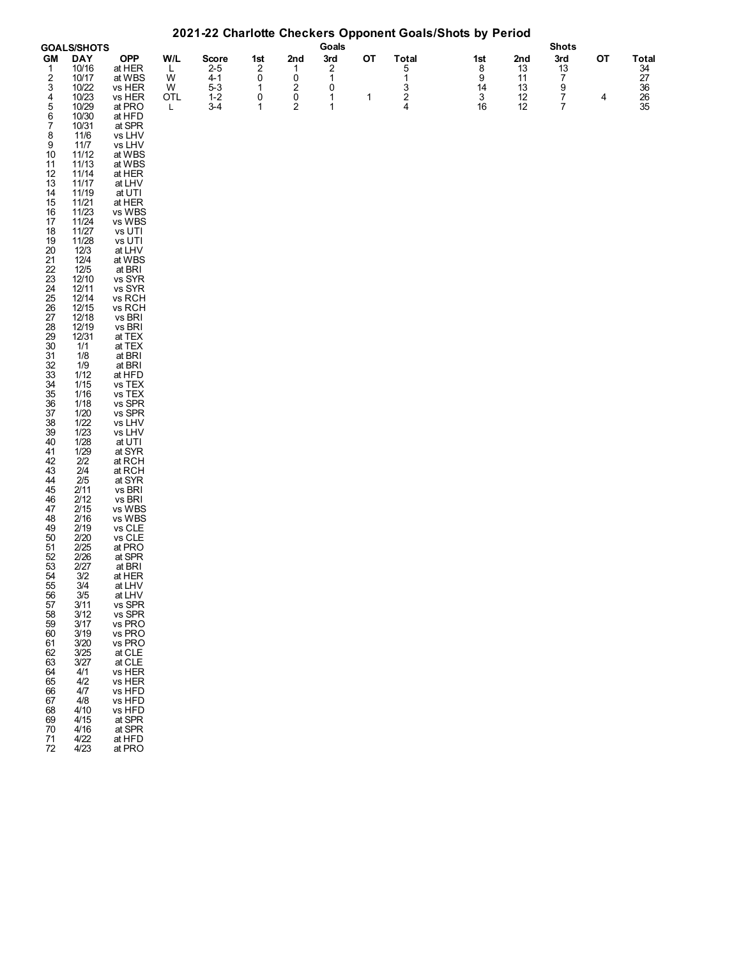|                       | <b>GOALS/SHOTS</b> |                  |        |                    |                     |                | Goals        |    |                   |         |          | <b>Shots</b>        |    |                           |
|-----------------------|--------------------|------------------|--------|--------------------|---------------------|----------------|--------------|----|-------------------|---------|----------|---------------------|----|---------------------------|
| <b>GM</b>             | <b>DAY</b>         | <b>OPP</b>       | W/L    | Score              | 1st                 | 2nd            | 3rd          | OT | <b>Total</b>      | 1st     | 2nd      | 3rd                 | OT | <b>Total</b>              |
| $\mathbf{1}$          | 10/16<br>10/17     | at HER<br>at WBS | L<br>W | $2 - 5$<br>$4 - 1$ | $\overline{c}$<br>0 | 1<br>0         | 2<br>1       |    | 5<br>$\mathbf{1}$ | 8<br>9  | 13<br>11 | 13<br>7             |    | $\frac{34}{27}$           |
| 2<br>3<br>4           | 10/22              | vs HER           | W      | $5-3$              | 1                   | $\overline{2}$ | 0            |    | 3                 | 14      | 13       | 9                   |    | 36                        |
|                       | 10/23              | vs HER           | OTL    | $1 - 2$            | 0                   | 0<br>2         | 1            | 1  | $\frac{2}{4}$     | 3<br>16 | 12       | 7<br>$\overline{7}$ | 4  | $26\,$<br>$\overline{35}$ |
| 5<br>6<br>7           | 10/29<br>10/30     | at PRO<br>at HFD | L      | $3 - 4$            | $\mathbf{1}$        |                | $\mathbf{1}$ |    |                   |         | 12       |                     |    |                           |
|                       | 10/31              | at SPR           |        |                    |                     |                |              |    |                   |         |          |                     |    |                           |
| 8                     | 11/6               | vs LHV           |        |                    |                     |                |              |    |                   |         |          |                     |    |                           |
| 9<br>10               | 11/7<br>11/12      | vs LHV<br>at WBS |        |                    |                     |                |              |    |                   |         |          |                     |    |                           |
| 11                    | 11/13              | at WBS           |        |                    |                     |                |              |    |                   |         |          |                     |    |                           |
| 12                    | 11/14              | at HER           |        |                    |                     |                |              |    |                   |         |          |                     |    |                           |
| 13<br>14              | 11/17<br>11/19     | at LHV<br>at UTI |        |                    |                     |                |              |    |                   |         |          |                     |    |                           |
| 15                    | 11/21              | at HER           |        |                    |                     |                |              |    |                   |         |          |                     |    |                           |
| 16                    | 11/23              | vs WBS           |        |                    |                     |                |              |    |                   |         |          |                     |    |                           |
| 17<br>18              | 11/24<br>11/27     | vs WBS<br>vs UTI |        |                    |                     |                |              |    |                   |         |          |                     |    |                           |
| 19                    | 11/28              | vs UTI           |        |                    |                     |                |              |    |                   |         |          |                     |    |                           |
| 20                    | 12/3               | at LHV           |        |                    |                     |                |              |    |                   |         |          |                     |    |                           |
| 21<br>22              | 12/4<br>12/5       | at WBS<br>at BRI |        |                    |                     |                |              |    |                   |         |          |                     |    |                           |
| 23                    | 12/10              | vs SYR           |        |                    |                     |                |              |    |                   |         |          |                     |    |                           |
| $\overline{24}$<br>25 | 12/11<br>12/14     | vs SYR           |        |                    |                     |                |              |    |                   |         |          |                     |    |                           |
| 26                    | 12/15              | vs RCH<br>vs RCH |        |                    |                     |                |              |    |                   |         |          |                     |    |                           |
| 27                    | 12/18              | vs BRI           |        |                    |                     |                |              |    |                   |         |          |                     |    |                           |
| 28<br>29              | 12/19<br>12/31     | vs BRI           |        |                    |                     |                |              |    |                   |         |          |                     |    |                           |
| 30                    | 1/1                | at TEX<br>at TEX |        |                    |                     |                |              |    |                   |         |          |                     |    |                           |
| 31                    | 1/8                | at BRI           |        |                    |                     |                |              |    |                   |         |          |                     |    |                           |
| $\frac{32}{33}$       | 1/9<br>1/12        | at BRI<br>at HFD |        |                    |                     |                |              |    |                   |         |          |                     |    |                           |
| 34                    | 1/15               | vs TEX           |        |                    |                     |                |              |    |                   |         |          |                     |    |                           |
| 35                    | 1/16               | vs TEX           |        |                    |                     |                |              |    |                   |         |          |                     |    |                           |
| 36<br>37              | 1/18<br>1/20       | vs SPR<br>vs SPR |        |                    |                     |                |              |    |                   |         |          |                     |    |                           |
| 38<br>39              | 1/22               | vs LHV           |        |                    |                     |                |              |    |                   |         |          |                     |    |                           |
|                       | 1/23               | vs LHV           |        |                    |                     |                |              |    |                   |         |          |                     |    |                           |
| 40<br>41              | 1/28<br>1/29       | at UTI<br>at SYR |        |                    |                     |                |              |    |                   |         |          |                     |    |                           |
| 42                    | 2/2                | at RCH           |        |                    |                     |                |              |    |                   |         |          |                     |    |                           |
| 43                    | 2/4                | at RCH           |        |                    |                     |                |              |    |                   |         |          |                     |    |                           |
| 44<br>45              | 2/5<br>2/11        | at SYR<br>vs BRI |        |                    |                     |                |              |    |                   |         |          |                     |    |                           |
| 46                    | 2/12               | vs BRI           |        |                    |                     |                |              |    |                   |         |          |                     |    |                           |
| 47                    | 2/15               | vs WBS           |        |                    |                     |                |              |    |                   |         |          |                     |    |                           |
| 48<br>49              | 2/16<br>2/19       | vs WBS<br>vs CLE |        |                    |                     |                |              |    |                   |         |          |                     |    |                           |
| 50                    | 2/20               | vs CLE           |        |                    |                     |                |              |    |                   |         |          |                     |    |                           |
| 51                    | 2/25               | at PRO           |        |                    |                     |                |              |    |                   |         |          |                     |    |                           |
| 52<br>53              | 2/26<br>2/27       | at SPR<br>at BRI |        |                    |                     |                |              |    |                   |         |          |                     |    |                           |
| 54                    | 3/2                | at HER           |        |                    |                     |                |              |    |                   |         |          |                     |    |                           |
| 55<br>56<br>57        | 3/4<br>3/5         | at LHV<br>at LHV |        |                    |                     |                |              |    |                   |         |          |                     |    |                           |
|                       | 3/11               |                  |        |                    |                     |                |              |    |                   |         |          |                     |    |                           |
| 58                    | 3/12               | vs SPR<br>vs SPR |        |                    |                     |                |              |    |                   |         |          |                     |    |                           |
| 59<br>60              | 3/17<br>3/19       | vs PRO<br>vs PRO |        |                    |                     |                |              |    |                   |         |          |                     |    |                           |
| 61                    | 3/20               | vs PRO           |        |                    |                     |                |              |    |                   |         |          |                     |    |                           |
| 62                    | 3/25               | at CLE           |        |                    |                     |                |              |    |                   |         |          |                     |    |                           |
| 63<br>64              | 3/27<br>4/1        | at CLE<br>vs HER |        |                    |                     |                |              |    |                   |         |          |                     |    |                           |
| 65                    | 4/2                | vs HER           |        |                    |                     |                |              |    |                   |         |          |                     |    |                           |
| 66                    | 4/7                | vs HFD           |        |                    |                     |                |              |    |                   |         |          |                     |    |                           |
| 67<br>68              | 4/8<br>4/10        | vs HFD<br>vs HFD |        |                    |                     |                |              |    |                   |         |          |                     |    |                           |
| 69                    | 4/15               | at SPR           |        |                    |                     |                |              |    |                   |         |          |                     |    |                           |
| 70                    | 4/16               | at SPR           |        |                    |                     |                |              |    |                   |         |          |                     |    |                           |
| 71<br>72              | 4/22<br>4/23       | at HFD<br>at PRO |        |                    |                     |                |              |    |                   |         |          |                     |    |                           |

#### **2021-22 Charlotte Checkers Opponent Goals/Shots by Period**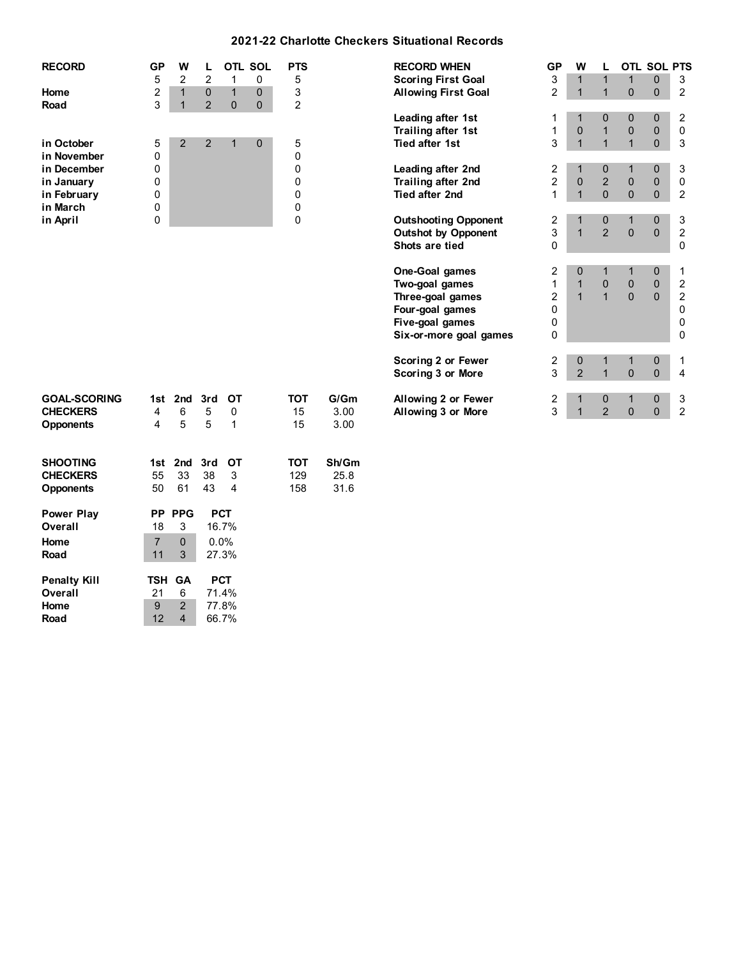#### **2021-22 Charlotte Checkers Situational Records**

| <b>RECORD</b> | GР | w |          |   | OTL SOL | <b>PTS</b> |
|---------------|----|---|----------|---|---------|------------|
|               | 5  | 2 | 2        | 1 | 0       | 5          |
| Home          | 2  | 1 | $\Omega$ | 1 | 0       | 3          |
| Road          | 3  | 1 | 2        | 0 | 0       | 2          |
|               |    |   |          |   |         |            |
|               |    |   |          |   |         |            |
| in October    | 5  | 2 | 2        | 1 | O       | 5          |
| in November   | 0  |   |          |   |         | 0          |
| in December   | 0  |   |          |   |         | 0          |
| in January    | ი  |   |          |   |         | 0          |
| in February   | 0  |   |          |   |         | 0          |
| in March      | ი  |   |          |   |         | ი          |
| in April      |    |   |          |   |         |            |

| RECORD              | <b>GP</b> | W            |              | <b>OTL</b>   | <b>SOL</b>   | <b>PTS</b>     |      | <b>RECORD WHEN</b>          | <b>GP</b> | W              |                  |                | OTL SOL PTS    |                |
|---------------------|-----------|--------------|--------------|--------------|--------------|----------------|------|-----------------------------|-----------|----------------|------------------|----------------|----------------|----------------|
|                     | 5         | 2            | 2            |              | 0            | 5              |      | <b>Scoring First Goal</b>   | 3         |                | 1                | 1              | $\mathbf{0}$   | 3              |
| Home                | 2         | $\mathbf{1}$ | $\mathbf{0}$ | $\mathbf 1$  | $\mathbf{0}$ | 3              |      | <b>Allowing First Goal</b>  | 2         |                | 1                | $\mathbf{0}$   | 0              | $\overline{2}$ |
| Road                | 3         | 1            | 2            | $\mathbf{0}$ | $\mathbf{0}$ | $\overline{2}$ |      |                             |           |                |                  |                |                |                |
|                     |           |              |              |              |              |                |      | Leading after 1st           |           |                | $\mathbf 0$      | 0              | 0              | 2              |
|                     |           |              |              |              |              |                |      | Trailing after 1st          |           | $\overline{0}$ | $\mathbf{1}$     | 0              | $\overline{0}$ | 0              |
| in October          | 5         | 2            | 2            |              | $\Omega$     | 5              |      | <b>Tied after 1st</b>       | 3         | 1              | $\mathbf{1}$     |                | $\mathbf 0$    | 3              |
| in November         | 0         |              |              |              |              | 0              |      |                             |           |                |                  |                |                |                |
| in December         | 0         |              |              |              |              | 0              |      | Leading after 2nd           | 2         |                | 0                |                | $\mathbf 0$    | 3              |
| in January          | 0         |              |              |              |              | 0              |      | Trailing after 2nd          | 2         | 0              | $\overline{2}$   | $\mathbf 0$    | $\mathbf 0$    | 0              |
| in February         | 0         |              |              |              |              | 0              |      | <b>Tied after 2nd</b>       |           |                | $\mathbf{0}$     | $\overline{0}$ | $\pmb{0}$      | $\overline{2}$ |
| in March            | 0         |              |              |              |              | 0              |      |                             |           |                |                  |                |                |                |
| in April            | 0         |              |              |              |              | $\Omega$       |      | <b>Outshooting Opponent</b> | 2         |                | $\boldsymbol{0}$ |                | $\mathbf 0$    | 3              |
|                     |           |              |              |              |              |                |      | <b>Outshot by Opponent</b>  | 3         | $\overline{1}$ | $\overline{2}$   | $\overline{0}$ | $\overline{0}$ | 2              |
|                     |           |              |              |              |              |                |      | Shots are tied              | 0         |                |                  |                |                | $\mathbf{0}$   |
|                     |           |              |              |              |              |                |      |                             |           |                |                  |                |                |                |
|                     |           |              |              |              |              |                |      | One-Goal games              | 2         | 0              | 1                |                | $\mathbf 0$    |                |
|                     |           |              |              |              |              |                |      | Two-goal games              |           |                | $\pmb{0}$        | $\pmb{0}$      | $\mathbf 0$    | 2              |
|                     |           |              |              |              |              |                |      | Three-goal games            | 2         | $\overline{1}$ | $\mathbf{1}$     | $\overline{0}$ | $\mathbf{0}$   | $\overline{c}$ |
|                     |           |              |              |              |              |                |      | Four-goal games             | 0         |                |                  |                |                | $\Omega$       |
|                     |           |              |              |              |              |                |      | Five-goal games             | 0         |                |                  |                |                | 0              |
|                     |           |              |              |              |              |                |      | Six-or-more goal games      | 0         |                |                  |                |                | 0              |
|                     |           |              |              |              |              |                |      |                             |           |                |                  |                |                |                |
|                     |           |              |              |              |              |                |      | Scoring 2 or Fewer          | 2         | 0              | 1                |                | 0              |                |
|                     |           |              |              |              |              |                |      | <b>Scoring 3 or More</b>    | 3         | $\overline{2}$ | $\mathbf{1}$     | $\mathbf{0}$   | $\mathbf 0$    | 4              |
|                     |           |              |              |              |              |                |      |                             |           |                |                  |                |                |                |
| <b>GOAL-SCORING</b> | 1st       |              | 2nd 3rd      | ОT           |              | <b>TOT</b>     | G/Gm | Allowing 2 or Fewer         | 2         |                | $\mathbf 0$      |                | $\mathbf 0$    | 3              |
| <b>CHECKERS</b>     | 4         | 6            | 5            | 0            |              | 15             | 3.00 | Allowing 3 or More          | 3         |                | $\overline{2}$   | $\mathbf{0}$   | $\Omega$       | $\overline{2}$ |

| <b>GOAL-SCORING</b><br><b>CHECKERS</b><br>Opponents | 1st<br>4<br>$\overline{4}$ | 2nd<br>6<br>5 | 3rd<br>5<br>5 | ОT<br>0<br>1 | <b>TOT</b><br>15<br>15 | G/Gm<br>3.00<br>3.00 | <b>Allowing 2 or Fewer</b><br>Allowing 3 or More | 2<br>3 | 1<br>1 | $\mathbf 0$<br>$\overline{2}$ | $\mathbf{1}$<br>$\mathbf 0$ | $\mathbf 0$<br>$\pmb{0}$ | 3<br>2 |
|-----------------------------------------------------|----------------------------|---------------|---------------|--------------|------------------------|----------------------|--------------------------------------------------|--------|--------|-------------------------------|-----------------------------|--------------------------|--------|
| <b>SHOOTING</b>                                     | 1st                        | 2nd           | 3rd           | ОT           | <b>TOT</b>             | Sh/Gm                |                                                  |        |        |                               |                             |                          |        |
| <b>CHECKERS</b>                                     | 55                         | 33            | 38            | 3            | 129                    | 25.8                 |                                                  |        |        |                               |                             |                          |        |
| Opponents                                           | 50                         | 61            | 43            | 4            | 158                    | 31.6                 |                                                  |        |        |                               |                             |                          |        |
| <b>Power Play</b>                                   | <b>PP</b>                  | <b>PPG</b>    | <b>PCT</b>    |              |                        |                      |                                                  |        |        |                               |                             |                          |        |
| Overall                                             | 18                         | 3             | 16.7%         |              |                        |                      |                                                  |        |        |                               |                             |                          |        |
| Home                                                | $\overline{7}$             | $\mathbf{0}$  | 0.0%          |              |                        |                      |                                                  |        |        |                               |                             |                          |        |
| Road                                                | 11                         | 3             | 27.3%         |              |                        |                      |                                                  |        |        |                               |                             |                          |        |
| <b>Penalty Kill</b>                                 |                            | TSH GA        | <b>PCT</b>    |              |                        |                      |                                                  |        |        |                               |                             |                          |        |
| Overall                                             | 21                         | 6             | 71.4%         |              |                        |                      |                                                  |        |        |                               |                             |                          |        |
| Home                                                | 9                          | 2             | 77.8%         |              |                        |                      |                                                  |        |        |                               |                             |                          |        |
| Road                                                | 12                         | 4             | 66.7%         |              |                        |                      |                                                  |        |        |                               |                             |                          |        |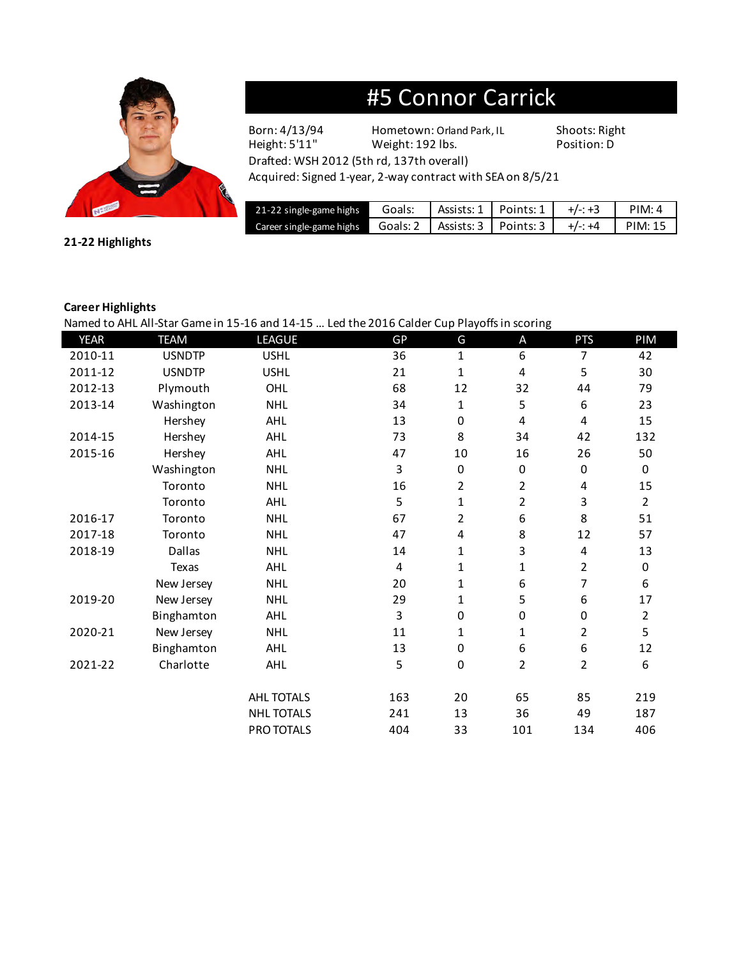

# #5 Connor Carrick

Drafted: WSH 2012 (5th rd, 137th overall)

Born: 4/13/94 Hometown: Orland Park, IL Shoots: Right<br>
Height: 5'11" Weight: 192 lbs. Position: D Weight: 192 lbs. Position: D

Acquired: Signed 1-year, 2-way contract with SEA on 8/5/21

| 21-22 single-game highs                                               | Goals:   Assists: 1   Points: 1   $+/- +3$ |  | PIM:4  |
|-----------------------------------------------------------------------|--------------------------------------------|--|--------|
| Career single-game highs Goals: 2   Assists: 3   Points: 3   $+/- +4$ |                                            |  | PIM:15 |

**21-22 Highlights**

#### **Career Highlights**

Named to AHL All-Star Game in 15-16 and 14-15 … Led the 2016 Calder Cup Playoffs in scoring

| <b>YEAR</b> | <b>TEAM</b>   | <b>LEAGUE</b>     | GP  | G                | A              | <b>PTS</b>     | PIM            |
|-------------|---------------|-------------------|-----|------------------|----------------|----------------|----------------|
| 2010-11     | <b>USNDTP</b> | <b>USHL</b>       | 36  | 1                | 6              | $\overline{7}$ | 42             |
| 2011-12     | <b>USNDTP</b> | <b>USHL</b>       | 21  | 1                | 4              | 5              | 30             |
| 2012-13     | Plymouth      | OHL               | 68  | 12               | 32             | 44             | 79             |
| 2013-14     | Washington    | <b>NHL</b>        | 34  | 1                | 5              | 6              | 23             |
|             | Hershey       | AHL               | 13  | $\mathbf 0$      | 4              | 4              | 15             |
| 2014-15     | Hershey       | AHL               | 73  | 8                | 34             | 42             | 132            |
| 2015-16     | Hershey       | AHL               | 47  | 10               | 16             | 26             | 50             |
|             | Washington    | <b>NHL</b>        | 3   | $\boldsymbol{0}$ | 0              | 0              | $\mathbf{0}$   |
|             | Toronto       | <b>NHL</b>        | 16  | 2                | $\overline{2}$ | 4              | 15             |
|             | Toronto       | AHL               | 5   | 1                | $\overline{2}$ | 3              | $\overline{2}$ |
| 2016-17     | Toronto       | <b>NHL</b>        | 67  | 2                | 6              | 8              | 51             |
| 2017-18     | Toronto       | <b>NHL</b>        | 47  | 4                | 8              | 12             | 57             |
| 2018-19     | <b>Dallas</b> | <b>NHL</b>        | 14  | 1                | 3              | 4              | 13             |
|             | Texas         | AHL               | 4   | 1                | 1              | $\overline{2}$ | 0              |
|             | New Jersey    | <b>NHL</b>        | 20  | 1                | 6              | 7              | 6              |
| 2019-20     | New Jersey    | <b>NHL</b>        | 29  | 1                | 5              | 6              | 17             |
|             | Binghamton    | AHL               | 3   | $\mathbf 0$      | 0              | 0              | $\overline{2}$ |
| 2020-21     | New Jersey    | <b>NHL</b>        | 11  | 1                | 1              | $\overline{2}$ | 5              |
|             | Binghamton    | AHL               | 13  | $\mathbf 0$      | 6              | 6              | 12             |
| 2021-22     | Charlotte     | AHL               | 5   | $\mathbf 0$      | $\overline{2}$ | $\overline{2}$ | 6              |
|             |               |                   |     |                  |                |                |                |
|             |               | AHL TOTALS        | 163 | 20               | 65             | 85             | 219            |
|             |               | <b>NHL TOTALS</b> | 241 | 13               | 36             | 49             | 187            |
|             |               | PRO TOTALS        | 404 | 33               | 101            | 134            | 406            |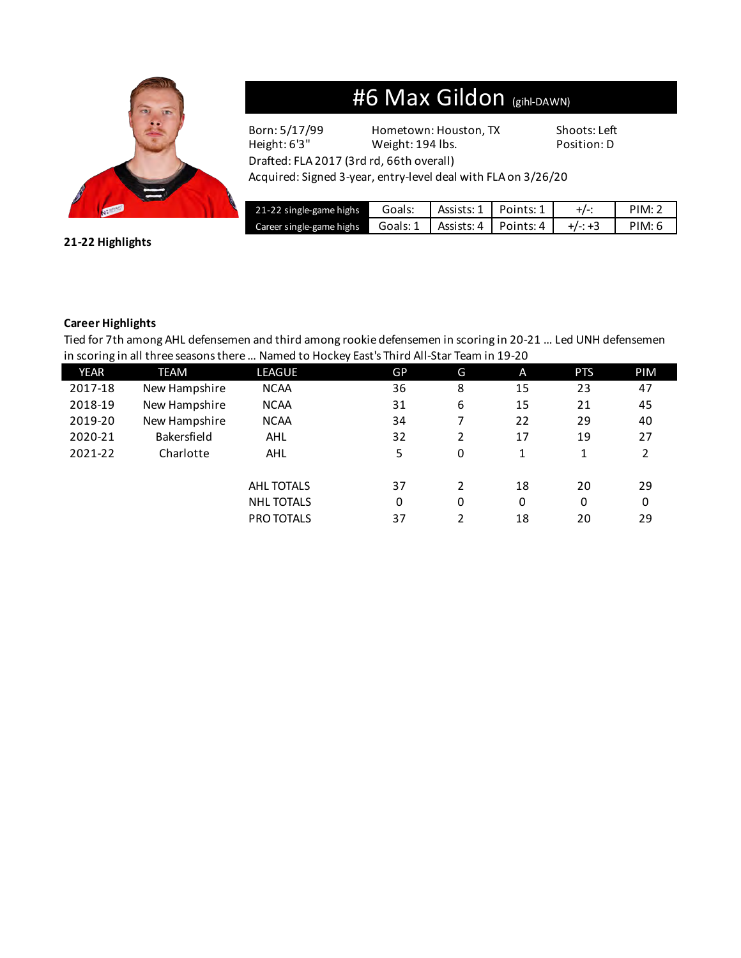

### #6 Max Gildon (gihl-DAWN)

Height: 6'3" Weight: 194 lbs. Position: D

Born: 5/17/99 Hometown: Houston, TX Shoots: Left

Drafted: FLA 2017 (3rd rd, 66th overall)

Acquired: Signed 3-year, entry-level deal with FLA on 3/26/20

| 21-22 single-game highs  | Goals: | Assists: 1 Points: 1                         |  | PIM:2  |
|--------------------------|--------|----------------------------------------------|--|--------|
| Career single-game highs |        | Goals: 1   Assists: 4   Points: 4   $+/- +3$ |  | PIM: 6 |

**21-22 Highlights**

#### **Career Highlights**

Tied for 7th among AHL defensemen and third among rookie defensemen in scoring in 20-21 … Led UNH defensemen in scoring in all three seasons there … Named to Hockey East's Third All-Star Team in 19-20

| YEAR    | <b>TEAM</b>   | LEAGUE            | GP | G | A  | <b>PTS</b> | PIM |
|---------|---------------|-------------------|----|---|----|------------|-----|
| 2017-18 | New Hampshire | <b>NCAA</b>       | 36 | 8 | 15 | 23         | 47  |
| 2018-19 | New Hampshire | <b>NCAA</b>       | 31 | 6 | 15 | 21         | 45  |
| 2019-20 | New Hampshire | <b>NCAA</b>       | 34 | 7 | 22 | 29         | 40  |
| 2020-21 | Bakersfield   | AHL               | 32 | 2 | 17 | 19         | 27  |
| 2021-22 | Charlotte     | AHL               | 5  | 0 | 1  | 1          | 2   |
|         |               |                   |    |   |    |            |     |
|         |               | AHL TOTALS        | 37 | 2 | 18 | 20         | 29  |
|         |               | <b>NHL TOTALS</b> | 0  | 0 | 0  | 0          | 0   |
|         |               | PRO TOTALS        | 37 | 2 | 18 | 20         | 29  |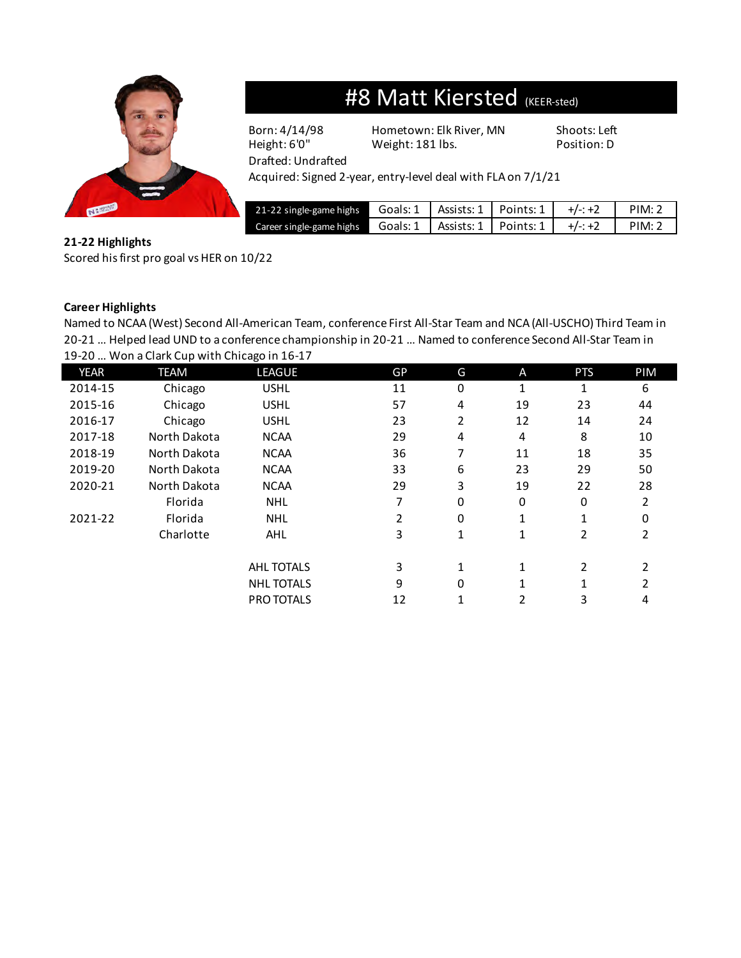

### #8 Matt Kiersted (KEER-sted)

Born: 4/14/98 Hometown: Elk River, MN Shoots: Left Height: 6'0" Weight: 181 lbs. Position: D

Drafted: Undrafted

Acquired: Signed 2-year, entry-level deal with FLA on 7/1/21

| 21-22 single-game highs Goals: $1$   Assists: $1$   Points: $1$   $+/- +2$  |  |  | PIM: 2 |
|-----------------------------------------------------------------------------|--|--|--------|
| Career single-game highs Goals: $1$   Assists: $1$   Points: $1$   $+/- +2$ |  |  | PIM: 2 |

#### **21-22 Highlights**

Scored his first pro goal vs HER on 10/22

#### **Career Highlights**

Named to NCAA (West) Second All-American Team, conference First All-Star Team and NCA (All-USCHO) Third Team in 20-21 … Helped lead UND to a conference championship in 20-21 … Named to conference Second All-Star Team in 19-20 … Won a Clark Cup with Chicago in 16-17

| <b>YEAR</b> | <b>TEAM</b>  | LEAGUE            | GP | G | A            | <b>PTS</b> | PIM      |
|-------------|--------------|-------------------|----|---|--------------|------------|----------|
| 2014-15     | Chicago      | <b>USHL</b>       | 11 | 0 | 1            | 1          | 6        |
| 2015-16     | Chicago      | <b>USHL</b>       | 57 | 4 | 19           | 23         | 44       |
| 2016-17     | Chicago      | <b>USHL</b>       | 23 | 2 | 12           | 14         | 24       |
| 2017-18     | North Dakota | <b>NCAA</b>       | 29 | 4 | 4            | 8          | 10       |
| 2018-19     | North Dakota | <b>NCAA</b>       | 36 | 7 | 11           | 18         | 35       |
| 2019-20     | North Dakota | <b>NCAA</b>       | 33 | 6 | 23           | 29         | 50       |
| 2020-21     | North Dakota | <b>NCAA</b>       | 29 | 3 | 19           | 22         | 28       |
|             | Florida      | <b>NHL</b>        | 7  | 0 | 0            | 0          | 2        |
| 2021-22     | Florida      | <b>NHL</b>        | 2  | 0 | 1            | 1          | $\Omega$ |
|             | Charlotte    | AHL               | 3  | 1 | $\mathbf{1}$ | 2          | 2        |
|             |              | <b>AHL TOTALS</b> | 3  | 1 | $\mathbf{1}$ | 2          | 2        |
|             |              | <b>NHL TOTALS</b> | 9  | 0 | 1            | 1          |          |
|             |              | PRO TOTALS        | 12 | 1 | 2            | 3          | 4        |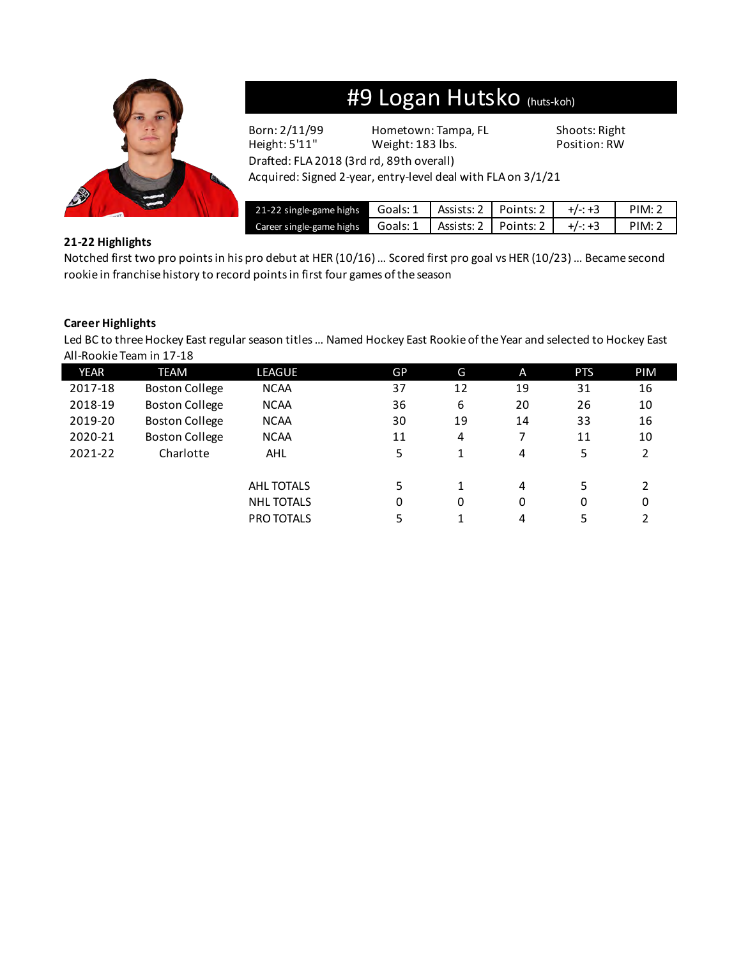

### #9 Logan Hutsko (huts-koh)

Born: 2/11/99 Hometown: Tampa, FL Shoots: Right Height: 5'11" Weight: 183 lbs. Position: RW

Drafted: FLA 2018 (3rd rd, 89th overall)

Acquired: Signed 2-year, entry-level deal with FLA on 3/1/21

| 21-22 single-game highs Goals: 1   Assists: 2   Points: 2   $+/- +3$ |  |  | PIM:2  |
|----------------------------------------------------------------------|--|--|--------|
| Career single-game highs Goals: 1   Assists: 2   Points: 2   +/-: +3 |  |  | PIM: 2 |

#### **21-22 Highlights**

Notched first two pro points in his pro debut at HER (10/16) … Scored first pro goal vs HER (10/23) … Became second rookie in franchise history to record points in first four games of the season

#### **Career Highlights**

Led BC to three Hockey East regular season titles … Named Hockey East Rookie of the Year and selected to Hockey East All-Rookie Team in 17-18

| YEAR    | <b>TEAM</b>           | LEAGUE            | GP | G            | A  | <b>PTS</b> | PIM           |
|---------|-----------------------|-------------------|----|--------------|----|------------|---------------|
| 2017-18 | <b>Boston College</b> | <b>NCAA</b>       | 37 | 12           | 19 | 31         | 16            |
| 2018-19 | <b>Boston College</b> | <b>NCAA</b>       | 36 | 6            | 20 | 26         | 10            |
| 2019-20 | <b>Boston College</b> | <b>NCAA</b>       | 30 | 19           | 14 | 33         | 16            |
| 2020-21 | <b>Boston College</b> | <b>NCAA</b>       | 11 | 4            | 7  | 11         | 10            |
| 2021-22 | Charlotte             | AHL               | 5  | $\mathbf{1}$ | 4  | 5          | 2             |
|         |                       |                   |    |              |    |            |               |
|         |                       | AHL TOTALS        | 5  | 1            | 4  | 5          | $\mathcal{P}$ |
|         |                       | <b>NHL TOTALS</b> | 0  | 0            | 0  | 0          | 0             |
|         |                       | PRO TOTALS        | 5  | 1            | 4  | 5          | 2             |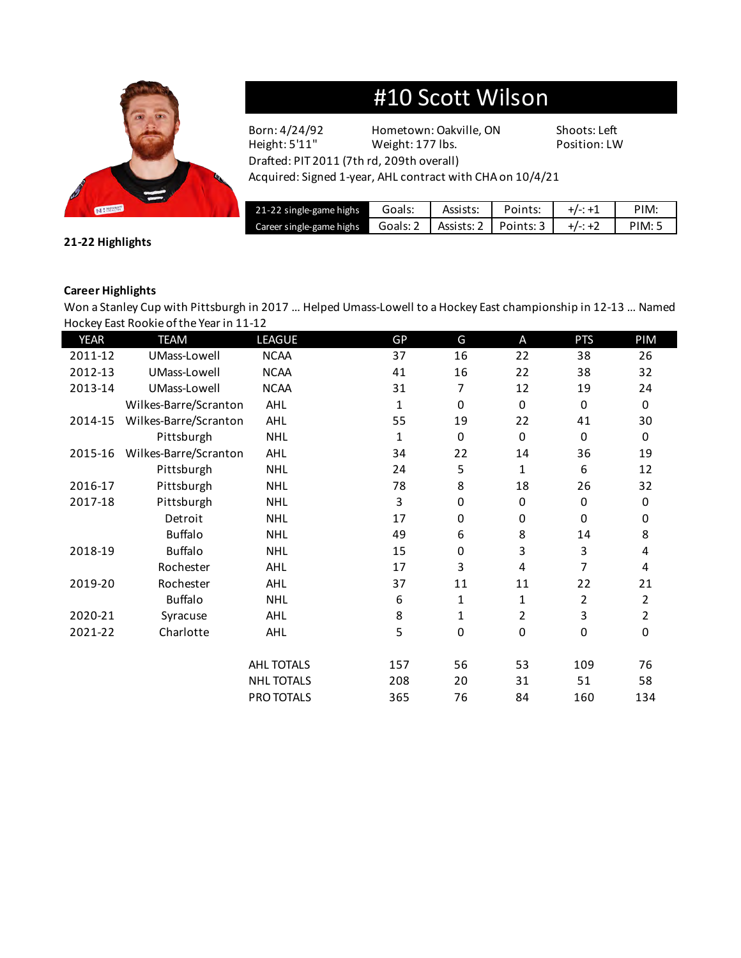

### #10 Scott Wilson

Drafted: PIT 2011 (7th rd, 209th overall)

Born: 4/24/92 Hometown: Oakville, ON Shoots: Left<br>Height: 5'11" Weight: 177 lbs. Position: LW Weight: 177 lbs. Position: LW

Acquired: Signed 1-year, AHL contract with CHA on 10/4/21

| 21-22 single-game highs                                               | Goals: | Assists: | Points: | $+/-: +1$ | PIM:   |
|-----------------------------------------------------------------------|--------|----------|---------|-----------|--------|
| Career single-game highs Goals: 2   Assists: 2   Points: 3   $+/- +2$ |        |          |         |           | PIM: 5 |

**21-22 Highlights**

#### **Career Highlights**

Won a Stanley Cup with Pittsburgh in 2017 … Helped Umass-Lowell to a Hockey East championship in 12-13 … Named Hockey East Rookie of the Year in 11-12

| <b>YEAR</b> | <b>TEAM</b>           | <b>LEAGUE</b>     | GP           | G           | A              | <b>PTS</b>  | PIM            |
|-------------|-----------------------|-------------------|--------------|-------------|----------------|-------------|----------------|
| 2011-12     | UMass-Lowell          | <b>NCAA</b>       | 37           | 16          | 22             | 38          | 26             |
| 2012-13     | UMass-Lowell          | <b>NCAA</b>       | 41           | 16          | 22             | 38          | 32             |
| 2013-14     | UMass-Lowell          | <b>NCAA</b>       | 31           | 7           | 12             | 19          | 24             |
|             | Wilkes-Barre/Scranton | <b>AHL</b>        | $\mathbf{1}$ | $\mathbf 0$ | 0              | 0           | 0              |
| 2014-15     | Wilkes-Barre/Scranton | AHL               | 55           | 19          | 22             | 41          | 30             |
|             | Pittsburgh            | <b>NHL</b>        | $\mathbf{1}$ | $\mathbf 0$ | $\mathbf 0$    | $\mathbf 0$ | $\mathbf{0}$   |
| 2015-16     | Wilkes-Barre/Scranton | AHL               | 34           | 22          | 14             | 36          | 19             |
|             | Pittsburgh            | <b>NHL</b>        | 24           | 5           | $\mathbf{1}$   | 6           | 12             |
| 2016-17     | Pittsburgh            | <b>NHL</b>        | 78           | 8           | 18             | 26          | 32             |
| 2017-18     | Pittsburgh            | <b>NHL</b>        | 3            | $\mathbf 0$ | 0              | 0           | 0              |
|             | Detroit               | <b>NHL</b>        | 17           | $\mathbf 0$ | 0              | 0           | 0              |
|             | <b>Buffalo</b>        | <b>NHL</b>        | 49           | 6           | 8              | 14          | 8              |
| 2018-19     | <b>Buffalo</b>        | <b>NHL</b>        | 15           | $\mathbf 0$ | 3              | 3           | 4              |
|             | Rochester             | AHL               | 17           | 3           | 4              | 7           | 4              |
| 2019-20     | Rochester             | AHL               | 37           | 11          | 11             | 22          | 21             |
|             | <b>Buffalo</b>        | <b>NHL</b>        | 6            | 1           | 1              | 2           | $\overline{2}$ |
| 2020-21     | Syracuse              | AHL               | 8            | 1           | $\overline{2}$ | 3           | $\overline{2}$ |
| 2021-22     | Charlotte             | <b>AHL</b>        | 5            | $\mathbf 0$ | 0              | 0           | 0              |
|             |                       |                   |              |             |                |             |                |
|             |                       | <b>AHL TOTALS</b> | 157          | 56          | 53             | 109         | 76             |
|             |                       | <b>NHL TOTALS</b> | 208          | 20          | 31             | 51          | 58             |
|             |                       | PRO TOTALS        | 365          | 76          | 84             | 160         | 134            |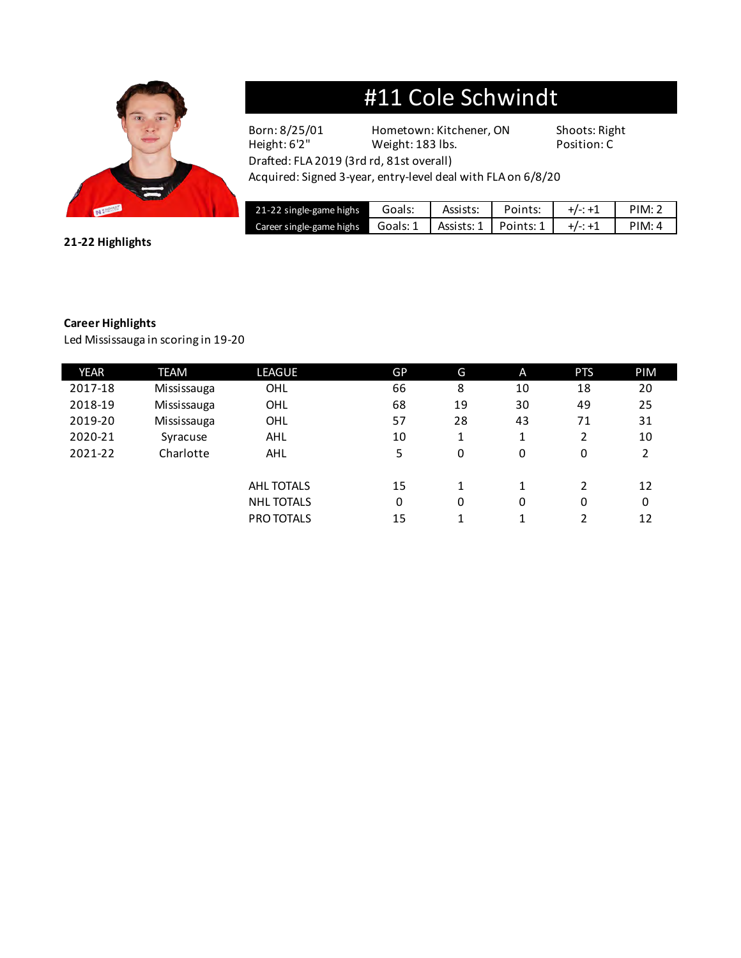

## #11 Cole Schwindt

Born: 8/25/01 Hometown: Kitchener, ON Shoots: Right<br>
Height: 6'2" Weight: 183 lbs. Position: C Weight: 183 lbs.

Drafted: FLA 2019 (3rd rd, 81st overall)

Acquired: Signed 3-year, entry-level deal with FLA on 6/8/20

| 21-22 single-game highs                                                      | Goals: | Assists: | Points: | $+/-: +1$ | PIM:2  |
|------------------------------------------------------------------------------|--------|----------|---------|-----------|--------|
| Career single-game highs Goals: $1$   Assists: $1$   Points: $1$   $+/- + 1$ |        |          |         |           | PIM: 4 |

**21-22 Highlights**

#### **Career Highlights**

Led Mississauga in scoring in 19-20

| <b>YEAR</b> | <b>TEAM</b> | LEAGUE            | GP | G  | A  | <b>PTS</b>     | PIM |
|-------------|-------------|-------------------|----|----|----|----------------|-----|
| 2017-18     | Mississauga | OHL               | 66 | 8  | 10 | 18             | 20  |
| 2018-19     | Mississauga | OHL               | 68 | 19 | 30 | 49             | 25  |
| 2019-20     | Mississauga | <b>OHL</b>        | 57 | 28 | 43 | 71             | 31  |
| 2020-21     | Syracuse    | AHL               | 10 | 1  | 1  | 2              | 10  |
| 2021-22     | Charlotte   | AHL               | 5  | 0  | 0  | 0              | 2   |
|             |             |                   |    |    |    |                |     |
|             |             | AHL TOTALS        | 15 | 1  | 1  | 2              | 12  |
|             |             | <b>NHL TOTALS</b> | 0  | 0  | 0  | 0              | 0   |
|             |             | PRO TOTALS        | 15 | 1  | 1  | $\overline{2}$ | 12  |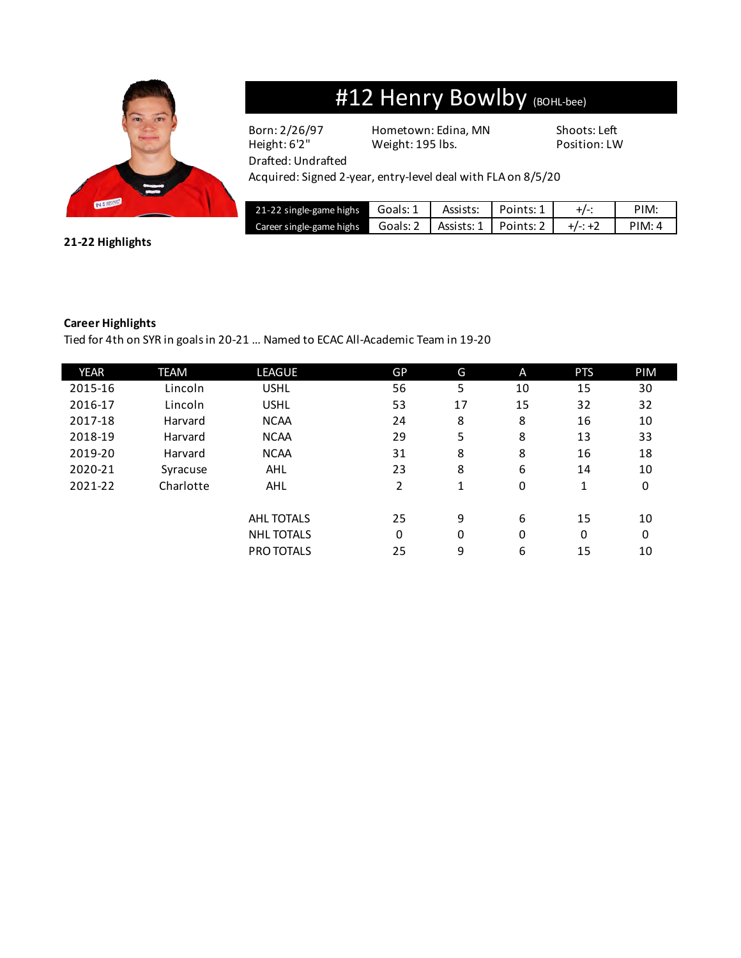

### #12 Henry Bowlby (BOHL-bee)

Born: 2/26/97 Hometown: Edina, MN Shoots: Left<br>
Height: 6'2" Weight: 195 lbs. Position: LW Weight: 195 lbs. Position: LW

Drafted: Undrafted

Acquired: Signed 2-year, entry-level deal with FLA on 8/5/20

| 21-22 single-game highs  | Goals: $1 \parallel$ | Assists: Points: 1                           | PIM:   |
|--------------------------|----------------------|----------------------------------------------|--------|
| Career single-game highs |                      | Goals: 2   Assists: 1   Points: 2   $+/- +2$ | PIM: 4 |

**21-22 Highlights**

#### **Career Highlights**

Tied for 4th on SYR in goals in 20-21 … Named to ECAC All-Academic Team in 19-20

| <b>YEAR</b> | <b>TEAM</b> | LEAGUE            | GP       | G  | A  | <b>PTS</b> | PIM |
|-------------|-------------|-------------------|----------|----|----|------------|-----|
| 2015-16     | Lincoln     | <b>USHL</b>       | 56       | 5  | 10 | 15         | 30  |
| 2016-17     | Lincoln     | <b>USHL</b>       | 53       | 17 | 15 | 32         | 32  |
| 2017-18     | Harvard     | <b>NCAA</b>       | 24       | 8  | 8  | 16         | 10  |
| 2018-19     | Harvard     | <b>NCAA</b>       | 29       | 5  | 8  | 13         | 33  |
| 2019-20     | Harvard     | <b>NCAA</b>       | 31       | 8  | 8  | 16         | 18  |
| 2020-21     | Syracuse    | AHL               | 23       | 8  | 6  | 14         | 10  |
| 2021-22     | Charlotte   | AHL               | 2        | 1  | 0  | 1          | 0   |
|             |             |                   |          |    |    |            |     |
|             |             | <b>AHL TOTALS</b> | 25       | 9  | 6  | 15         | 10  |
|             |             | <b>NHL TOTALS</b> | $\Omega$ | 0  | 0  | 0          | 0   |
|             |             | PRO TOTALS        | 25       | 9  | 6  | 15         | 10  |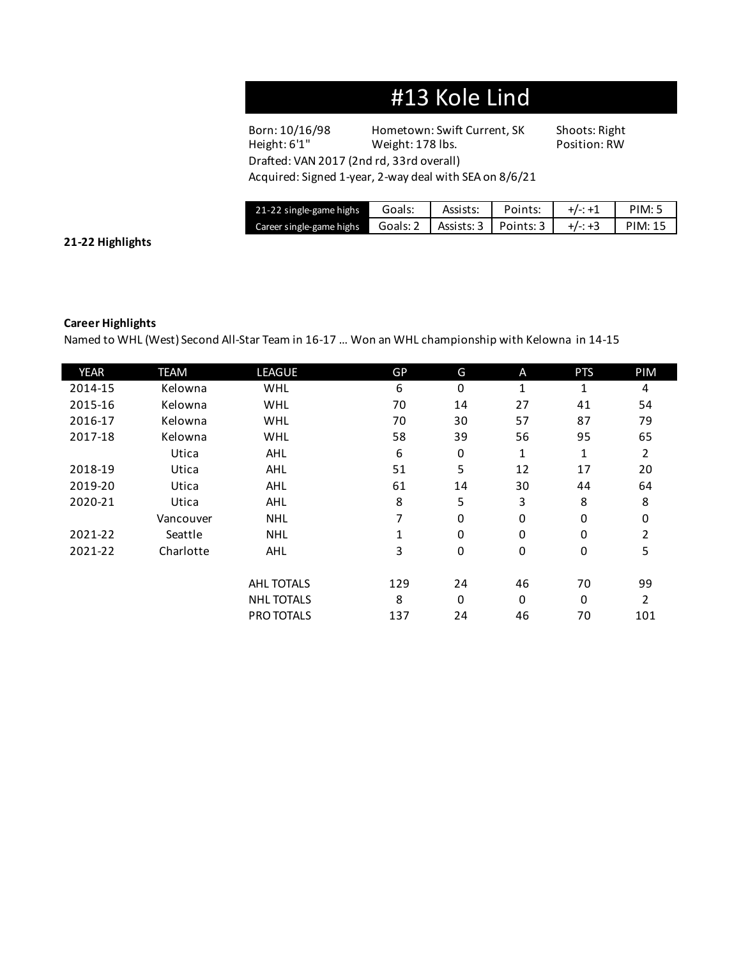### #13 Kole Lind

Born: 10/16/98 Hometown: Swift Current, SK Shoots: Right<br>Height: 6'1" Weight: 178 lbs. Position: RW

Weight: 178 lbs. Position: RW

Drafted: VAN 2017 (2nd rd, 33rd overall)

Acquired: Signed 1-year, 2-way deal with SEA on 8/6/21

| 21-22 single-game highs  | Goals: | Assists: | Points:                           | $+/-: +1$ | PIM: 5         |
|--------------------------|--------|----------|-----------------------------------|-----------|----------------|
| Career single-game highs |        |          | Goals: 2   Assists: 3   Points: 3 | $+/-: +3$ | <b>PIM: 15</b> |

#### **21-22 Highlights**

#### **Career Highlights**

Named to WHL (West) Second All-Star Team in 16-17 … Won an WHL championship with Kelowna in 14-15

| <b>YEAR</b> | <b>TEAM</b> | <b>LEAGUE</b>     | GP  | G           | A         | <b>PTS</b> | PIM |
|-------------|-------------|-------------------|-----|-------------|-----------|------------|-----|
| 2014-15     | Kelowna     | WHL               | 6   | $\mathbf 0$ | 1         | 1          | 4   |
| 2015-16     | Kelowna     | WHL               | 70  | 14          | 27        | 41         | 54  |
| 2016-17     | Kelowna     | WHL               | 70  | 30          | 57        | 87         | 79  |
| 2017-18     | Kelowna     | <b>WHL</b>        | 58  | 39          | 56        | 95         | 65  |
|             | Utica       | AHL               | 6   | 0           | 1         | 1          | 2   |
| 2018-19     | Utica       | AHL               | 51  | 5           | 12        | 17         | 20  |
| 2019-20     | Utica       | AHL               | 61  | 14          | 30        | 44         | 64  |
| 2020-21     | Utica       | AHL               | 8   | 5           | 3         | 8          | 8   |
|             | Vancouver   | <b>NHL</b>        | 7   | 0           | 0         | 0          | 0   |
| 2021-22     | Seattle     | <b>NHL</b>        | 1   | 0           | 0         | 0          | 2   |
| 2021-22     | Charlotte   | AHL               | 3   | $\mathbf 0$ | $\pmb{0}$ | 0          | 5   |
|             |             | <b>AHL TOTALS</b> | 129 | 24          | 46        | 70         | 99  |
|             |             | <b>NHL TOTALS</b> | 8   | $\mathbf 0$ | 0         | 0          | 2   |
|             |             | PRO TOTALS        | 137 | 24          | 46        | 70         | 101 |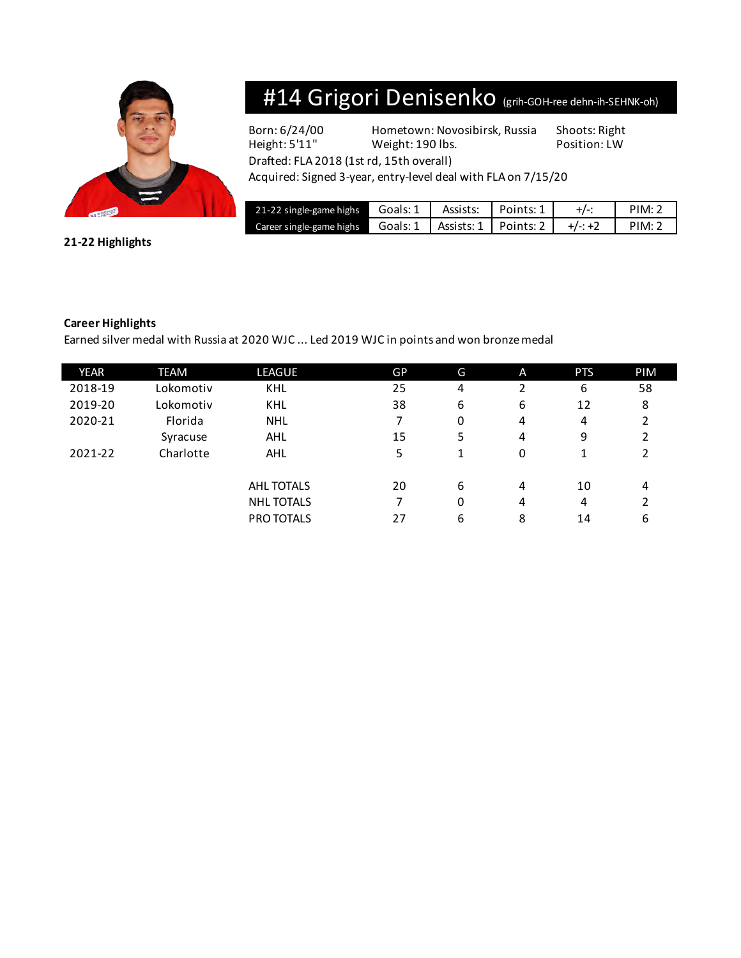

# #14 Grigori Denisenko (grih-GOH-ree dehn-ih-SEHNK-oh)

Born: 6/24/00 Hometown: Novosibirsk, Russia Shoots: Right Weight: 190 lbs. Position: LW

Drafted: FLA 2018 (1st rd, 15th overall)

Acquired: Signed 3-year, entry-level deal with FLA on 7/15/20

| 21-22 single-game highs Goals: 1   Assists: Points: 1                       |  | $+/-$ | PIM: 2        |
|-----------------------------------------------------------------------------|--|-------|---------------|
| Career single-game highs Goals: $1$   Assists: $1$   Points: $2$   $+/- +2$ |  |       | <b>PIM: 2</b> |

**21-22 Highlights**

#### **Career Highlights**

Earned silver medal with Russia at 2020 WJC ... Led 2019 WJC in points and won bronze medal

| YEAR    | <b>TEAM</b> | LEAGUE            | GP | G | A | <b>PTS</b> | PIM |
|---------|-------------|-------------------|----|---|---|------------|-----|
| 2018-19 | Lokomotiv   | <b>KHL</b>        | 25 | 4 | 2 | 6          | 58  |
| 2019-20 | Lokomotiv   | KHL               | 38 | 6 | 6 | 12         | 8   |
| 2020-21 | Florida     | <b>NHL</b>        | 7  | 0 | 4 | 4          |     |
|         | Syracuse    | AHL               | 15 | 5 | 4 | 9          |     |
| 2021-22 | Charlotte   | AHL               | 5  | 1 | 0 | 1          |     |
|         |             |                   |    |   |   |            |     |
|         |             | AHL TOTALS        | 20 | 6 | 4 | 10         | 4   |
|         |             | <b>NHL TOTALS</b> | 7  | 0 | 4 | 4          | 2   |
|         |             | PRO TOTALS        | 27 | 6 | 8 | 14         | 6   |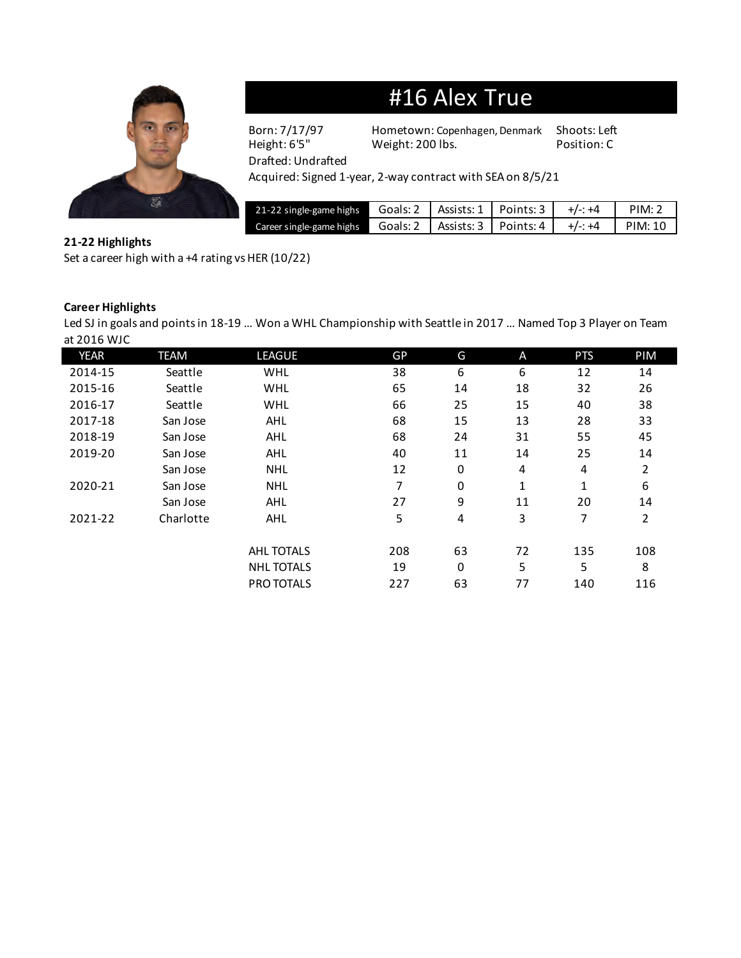

### #16 Alex True

Born: 7/17/97 Hometown: Copenhagen, Denmark Shoots: Left<br>Height: 6'5" Weight: 200 lbs. Position: C Weight: 200 lbs. Position: C

Drafted: Undrafted

Acquired: Signed 1-year, 2-way contract with SEA on 8/5/21

| 21-22 single-game highs  |          | Goals: 2   Assists: 1   Points: 3 | $+/-: +4$ | PIM: 2  |
|--------------------------|----------|-----------------------------------|-----------|---------|
| Career single-game highs | Goals: 2 | Assists: 3   Points: 4            | $+/-: +4$ | PIM: 10 |

#### **21-22 Highlights**

Set a career high with a +4 rating vs HER (10/22)

#### **Career Highlights**

Led SJ in goals and points in 18-19 … Won a WHL Championship with Seattle in 2017 … Named Top 3 Player on Team at 2016 WJC

| <b>YEAR</b> | <b>TEAM</b> | LEAGUE            | GP  | G           | A  | <b>PTS</b> | PIM |
|-------------|-------------|-------------------|-----|-------------|----|------------|-----|
| 2014-15     | Seattle     | <b>WHL</b>        | 38  | 6           | 6  | 12         | 14  |
| 2015-16     | Seattle     | <b>WHL</b>        | 65  | 14          | 18 | 32         | 26  |
| 2016-17     | Seattle     | <b>WHL</b>        | 66  | 25          | 15 | 40         | 38  |
| 2017-18     | San Jose    | AHL               | 68  | 15          | 13 | 28         | 33  |
| 2018-19     | San Jose    | AHL               | 68  | 24          | 31 | 55         | 45  |
| 2019-20     | San Jose    | AHL               | 40  | 11          | 14 | 25         | 14  |
|             | San Jose    | <b>NHL</b>        | 12  | $\mathbf 0$ | 4  | 4          | 2   |
| 2020-21     | San Jose    | <b>NHL</b>        | 7   | $\mathbf 0$ | 1  | 1          | 6   |
|             | San Jose    | AHL               | 27  | 9           | 11 | 20         | 14  |
| 2021-22     | Charlotte   | AHL               | 5   | 4           | 3  | 7          | 2   |
|             |             | AHL TOTALS        | 208 | 63          | 72 | 135        | 108 |
|             |             | <b>NHL TOTALS</b> | 19  | $\mathbf 0$ | 5  | 5          | 8   |
|             |             |                   |     |             |    |            |     |
|             |             | PRO TOTALS        | 227 | 63          | 77 | 140        | 116 |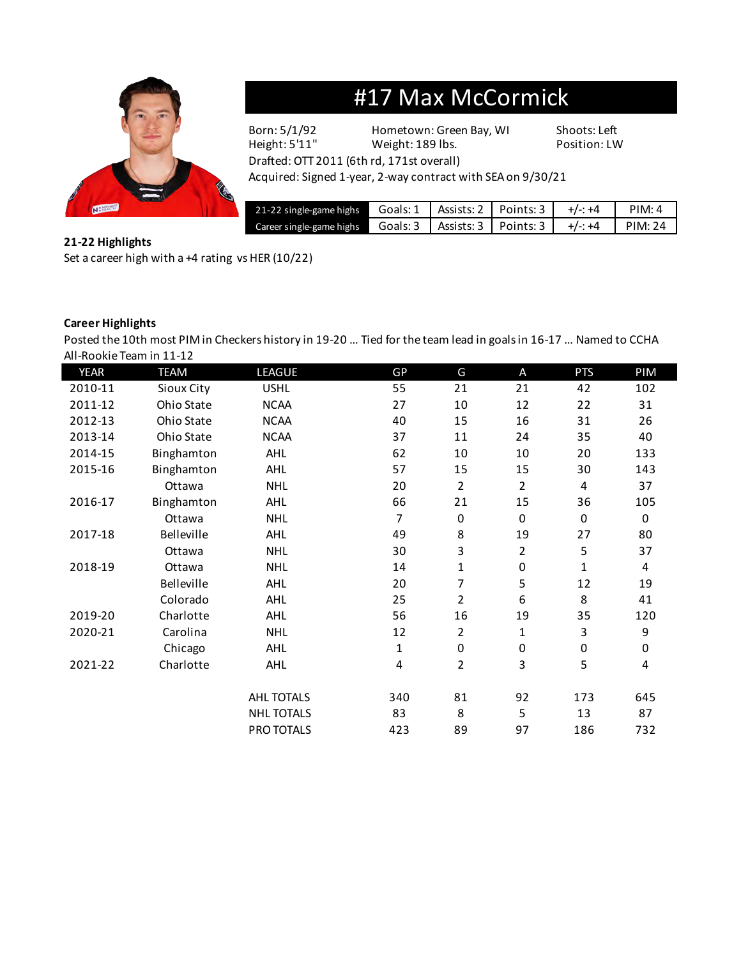

## #17 Max McCormick

Height: 5'11" Weight: 189 lbs. Position: LW

Born: 5/1/92 Hometown: Green Bay, WI Shoots: Left

Drafted: OTT 2011 (6th rd, 171st overall)

Acquired: Signed 1-year, 2-way contract with SEA on 9/30/21

| 21-22 single-game highs  | Goals: 1   Assists: 2   Points: 3   $+/- +4$           |  | PIM: 4 |
|--------------------------|--------------------------------------------------------|--|--------|
| Career single-game highs | Goals: 3   Assists: 3   Points: 3   $+/- +4$   PIM: 24 |  |        |

**21-22 Highlights**

Set a career high with a +4 rating vs HER (10/22)

#### **Career Highlights**

Posted the 10th most PIM in Checkers history in 19-20 … Tied for the team lead in goals in 16-17 … Named to CCHA All-Rookie Team in 11-12

| <b>YEAR</b> | <b>TEAM</b> | <b>LEAGUE</b>     | GP             | G              | A              | <b>PTS</b>   | PIM          |
|-------------|-------------|-------------------|----------------|----------------|----------------|--------------|--------------|
| 2010-11     | Sioux City  | <b>USHL</b>       | 55             | 21             | 21             | 42           | 102          |
| 2011-12     | Ohio State  | <b>NCAA</b>       | 27             | 10             | 12             | 22           | 31           |
| 2012-13     | Ohio State  | <b>NCAA</b>       | 40             | 15             | 16             | 31           | 26           |
| 2013-14     | Ohio State  | <b>NCAA</b>       | 37             | 11             | 24             | 35           | 40           |
| 2014-15     | Binghamton  | AHL               | 62             | 10             | $10\,$         | 20           | 133          |
| 2015-16     | Binghamton  | AHL               | 57             | 15             | 15             | 30           | 143          |
|             | Ottawa      | <b>NHL</b>        | 20             | 2              | $\overline{2}$ | 4            | 37           |
| 2016-17     | Binghamton  | <b>AHL</b>        | 66             | 21             | 15             | 36           | 105          |
|             | Ottawa      | <b>NHL</b>        | 7              | $\pmb{0}$      | $\mathbf 0$    | $\mathbf{0}$ | $\mathbf{0}$ |
| 2017-18     | Belleville  | AHL               | 49             | 8              | 19             | 27           | 80           |
|             | Ottawa      | <b>NHL</b>        | 30             | 3              | $\overline{2}$ | 5            | 37           |
| 2018-19     | Ottawa      | <b>NHL</b>        | 14             | 1              | $\pmb{0}$      | 1            | 4            |
|             | Belleville  | <b>AHL</b>        | 20             | 7              | 5              | 12           | 19           |
|             | Colorado    | AHL               | 25             | $\overline{2}$ | 6              | 8            | 41           |
| 2019-20     | Charlotte   | AHL               | 56             | 16             | 19             | 35           | 120          |
| 2020-21     | Carolina    | <b>NHL</b>        | 12             | $\overline{2}$ | $\mathbf{1}$   | 3            | 9            |
|             | Chicago     | AHL               | 1              | $\mathbf 0$    | $\pmb{0}$      | $\mathbf 0$  | $\mathsf 0$  |
| 2021-22     | Charlotte   | AHL               | $\overline{4}$ | $\overline{2}$ | 3              | 5            | 4            |
|             |             |                   |                |                |                |              |              |
|             |             | AHL TOTALS        | 340            | 81             | 92             | 173          | 645          |
|             |             | <b>NHL TOTALS</b> | 83             | 8              | 5              | 13           | 87           |
|             |             | PRO TOTALS        | 423            | 89             | 97             | 186          | 732          |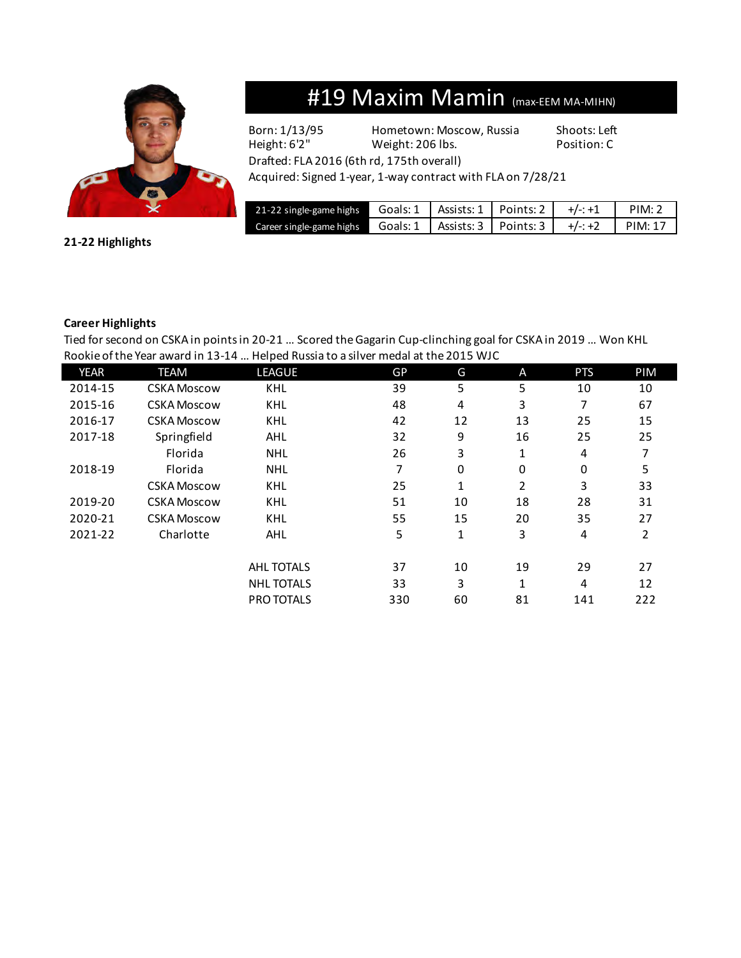

### #19 Maxim Mamin (max-EEM MA-MIHN)

Born: 1/13/95 Hometown: Moscow, Russia Shoots: Left Height: 6'2" Weight: 206 lbs. Position: C

Drafted: FLA 2016 (6th rd, 175th overall)

Acquired: Signed 1-year, 1-way contract with FLA on 7/28/21

| 21-22 single-game highs Goals: 1   Assists: 1   Points: 2   $+/-$ : +1       |  |  | PIM:2 |
|------------------------------------------------------------------------------|--|--|-------|
| Career single-game highs Goals: $1$ Assists: $3$ Points: $3$ +/-: +2 PIM: 17 |  |  |       |

**21-22 Highlights**

#### **Career Highlights**

Tied for second on CSKA in points in 20-21 … Scored the Gagarin Cup-clinching goal for CSKA in 2019 … Won KHL Rookie of the Year award in 13-14 … Helped Russia to a silver medal at the 2015 WJC

| <b>YEAR</b> | <b>TEAM</b>        | <b>LEAGUE</b>     | GP  | G  | A              | <b>PTS</b> | PIM |
|-------------|--------------------|-------------------|-----|----|----------------|------------|-----|
| 2014-15     | <b>CSKA Moscow</b> | <b>KHL</b>        | 39  | 5  | 5              | 10         | 10  |
| 2015-16     | <b>CSKA Moscow</b> | KHL               | 48  | 4  | 3              | 7          | 67  |
| 2016-17     | <b>CSKA Moscow</b> | KHL               | 42  | 12 | 13             | 25         | 15  |
| 2017-18     | Springfield        | AHL               | 32  | 9  | 16             | 25         | 25  |
|             | Florida            | <b>NHL</b>        | 26  | 3  | 1              | 4          |     |
| 2018-19     | Florida            | <b>NHL</b>        | 7   | 0  | 0              | 0          | 5   |
|             | <b>CSKA Moscow</b> | KHL               | 25  | 1  | $\overline{2}$ | 3          | 33  |
| 2019-20     | <b>CSKA Moscow</b> | KHL               | 51  | 10 | 18             | 28         | 31  |
| 2020-21     | <b>CSKA Moscow</b> | KHL               | 55  | 15 | 20             | 35         | 27  |
| 2021-22     | Charlotte          | AHL               | 5   | 1  | 3              | 4          | 2   |
|             |                    |                   |     |    |                |            |     |
|             |                    | <b>AHL TOTALS</b> | 37  | 10 | 19             | 29         | 27  |
|             |                    | <b>NHL TOTALS</b> | 33  | 3  | $\mathbf{1}$   | 4          | 12  |
|             |                    | PRO TOTALS        | 330 | 60 | 81             | 141        | 222 |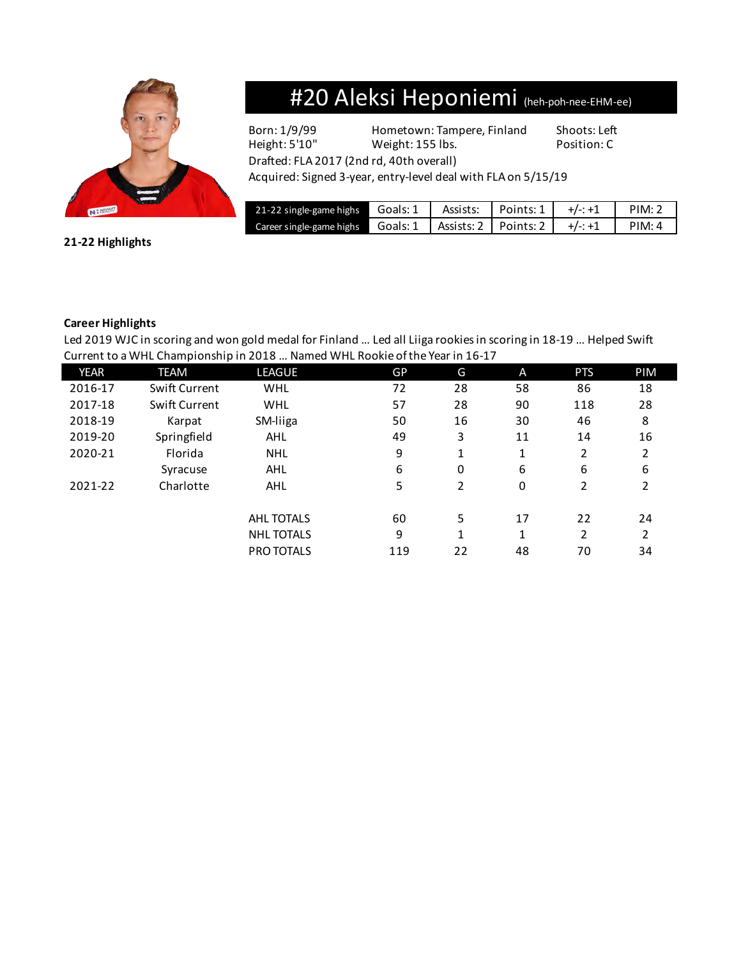

### #20 Aleksi Heponiemi (heh-poh-nee-EHM-ee)

Born: 1/9/99 Hometown: Tampere, Finland Shoots: Left Height: 5'10" Weight: 155 lbs. Position: C

Drafted: FLA 2017 (2nd rd, 40th overall)

Acquired: Signed 3-year, entry-level deal with FLA on 5/15/19

| 21-22 single-game highs Goals: 1  |                        | Assists:   Points: $1 \mid +/$ : +1 |           | PIM: 2 |
|-----------------------------------|------------------------|-------------------------------------|-----------|--------|
| Career single-game highs Goals: 1 | Assists: 2   Points: 2 |                                     | $+/-: +1$ | PIM: 4 |

### **21-22 Highlights**

#### **Career Highlights**

Led 2019 WJC in scoring and won gold medal for Finland … Led all Liiga rookies in scoring in 18-19 … Helped Swift Current to a WHL Championship in 2018 … Named WHL Rookie of the Year in 16-17

| <b>YEAR</b> | <b>TEAM</b>   | LEAGUE            | <b>GP</b> | G  | A  | <b>PTS</b> | PIM |
|-------------|---------------|-------------------|-----------|----|----|------------|-----|
| 2016-17     | Swift Current | <b>WHL</b>        | 72        | 28 | 58 | 86         | 18  |
| 2017-18     | Swift Current | <b>WHL</b>        | 57        | 28 | 90 | 118        | 28  |
| 2018-19     | Karpat        | SM-liiga          | 50        | 16 | 30 | 46         | 8   |
| 2019-20     | Springfield   | AHL               | 49        | 3  | 11 | 14         | 16  |
| 2020-21     | Florida       | <b>NHL</b>        | 9         | 1  | 1  | 2          | 2   |
|             | Syracuse      | AHL               | 6         | 0  | 6  | 6          | 6   |
| 2021-22     | Charlotte     | AHL               | 5         | 2  | 0  | 2          | 2   |
|             |               | <b>AHL TOTALS</b> | 60        | 5  | 17 | 22         | 24  |
|             |               | <b>NHL TOTALS</b> | 9         | 1  | 1  | 2          | 2   |
|             |               | PRO TOTALS        | 119       | 22 | 48 | 70         | 34  |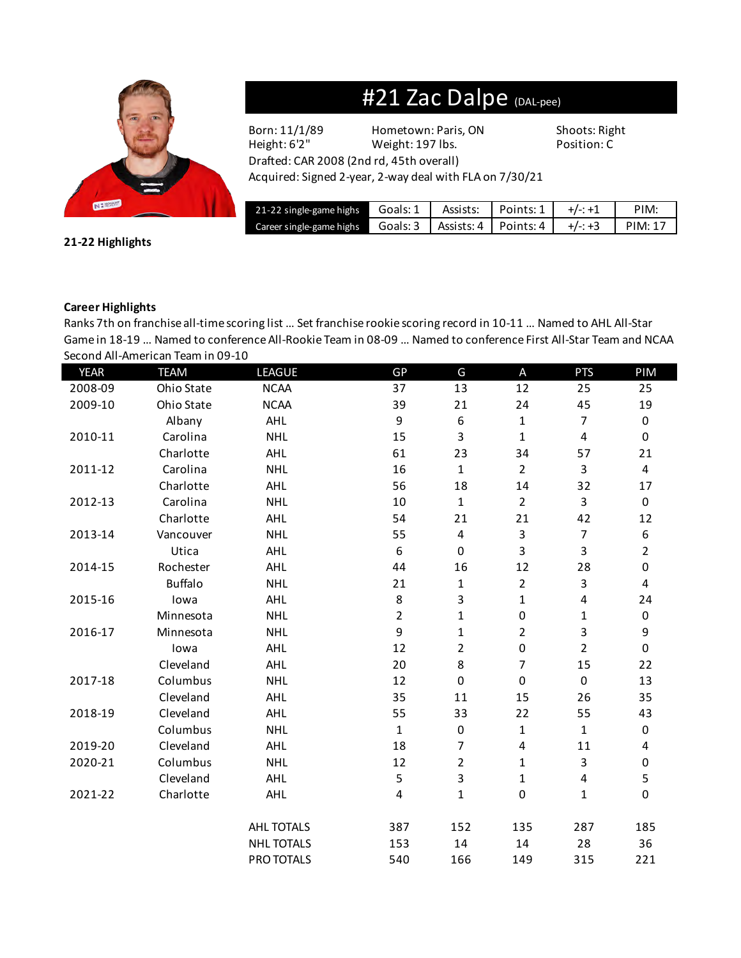

### #21 Zac Dalpe (DAL-pee)

Drafted: CAR 2008 (2nd rd, 45th overall)

Born: 11/1/89 Hometown: Paris, ON Shoots: Right Height: 6'2" Weight: 197 lbs. Position: C

Acquired: Signed 2-year, 2-way deal with FLA on 7/30/21

| 21-22 single-game highs Goals: 1   Assists:   Points: 1   $+/- + 1$               |  |  | PIM: |
|-----------------------------------------------------------------------------------|--|--|------|
| Career single-game highs Goals: 3   Assists: 4   Points: $4$   $+/- +3$   PIM: 17 |  |  |      |

**21-22 Highlights**

#### **Career Highlights**

Ranks 7th on franchise all-time scoring list … Set franchise rookie scoring record in 10-11 … Named to AHL All-Star Game in 18-19 … Named to conference All-Rookie Team in 08-09 … Named to conference First All-Star Team and NCAA Second All-American Team in 09-10

| <b>YEAR</b> | <b>TEAM</b>    | LEAGUE            | GP             | G              | A              | <b>PTS</b>              | PIM            |
|-------------|----------------|-------------------|----------------|----------------|----------------|-------------------------|----------------|
| 2008-09     | Ohio State     | <b>NCAA</b>       | 37             | 13             | 12             | 25                      | 25             |
| 2009-10     | Ohio State     | <b>NCAA</b>       | 39             | 21             | 24             | 45                      | 19             |
|             | Albany         | <b>AHL</b>        | 9              | 6              | $\mathbf{1}$   | $\overline{7}$          | 0              |
| 2010-11     | Carolina       | <b>NHL</b>        | 15             | 3              | $\mathbf{1}$   | $\overline{\mathbf{4}}$ | $\mathbf 0$    |
|             | Charlotte      | AHL               | 61             | 23             | 34             | 57                      | 21             |
| 2011-12     | Carolina       | <b>NHL</b>        | 16             | $\mathbf{1}$   | $\overline{2}$ | 3                       | $\overline{4}$ |
|             | Charlotte      | AHL               | 56             | 18             | 14             | 32                      | 17             |
| 2012-13     | Carolina       | <b>NHL</b>        | 10             | $\mathbf 1$    | $\overline{2}$ | 3                       | $\mathbf 0$    |
|             | Charlotte      | AHL               | 54             | 21             | 21             | 42                      | 12             |
| 2013-14     | Vancouver      | <b>NHL</b>        | 55             | 4              | 3              | $\overline{7}$          | $6\,$          |
|             | Utica          | AHL               | 6              | $\pmb{0}$      | 3              | 3                       | $\overline{2}$ |
| 2014-15     | Rochester      | AHL               | 44             | 16             | 12             | 28                      | $\mathbf 0$    |
|             | <b>Buffalo</b> | <b>NHL</b>        | 21             | 1              | $\overline{2}$ | 3                       | 4              |
| 2015-16     | lowa           | AHL               | 8              | 3              | $\mathbf 1$    | $\pmb{4}$               | 24             |
|             | Minnesota      | <b>NHL</b>        | $\overline{2}$ | $\mathbf 1$    | $\mathbf 0$    | $\mathbf{1}$            | 0              |
| 2016-17     | Minnesota      | <b>NHL</b>        | 9              | $\mathbf{1}$   | $\overline{2}$ | 3                       | 9              |
|             | lowa           | AHL               | 12             | $\overline{a}$ | $\pmb{0}$      | $\overline{2}$          | $\mathbf 0$    |
|             | Cleveland      | AHL               | 20             | $\bf 8$        | 7              | 15                      | 22             |
| 2017-18     | Columbus       | <b>NHL</b>        | 12             | $\pmb{0}$      | $\pmb{0}$      | $\mathbf 0$             | 13             |
|             | Cleveland      | AHL               | 35             | 11             | 15             | 26                      | 35             |
| 2018-19     | Cleveland      | AHL               | 55             | 33             | 22             | 55                      | 43             |
|             | Columbus       | <b>NHL</b>        | $\mathbf{1}$   | $\pmb{0}$      | $\mathbf{1}$   | $\mathbf{1}$            | $\mathbf 0$    |
| 2019-20     | Cleveland      | AHL               | 18             | $\overline{7}$ | 4              | 11                      | 4              |
| 2020-21     | Columbus       | <b>NHL</b>        | 12             | $\overline{2}$ | 1              | 3                       | $\mathbf 0$    |
|             | Cleveland      | AHL               | 5              | 3              | $\mathbf 1$    | 4                       | 5              |
| 2021-22     | Charlotte      | AHL               | $\overline{4}$ | $\mathbf 1$    | $\pmb{0}$      | $\mathbf{1}$            | $\mathbf 0$    |
|             |                | AHL TOTALS        | 387            | 152            | 135            | 287                     | 185            |
|             |                | <b>NHL TOTALS</b> | 153            | 14             | 14             | 28                      | 36             |
|             |                | PRO TOTALS        | 540            | 166            | 149            | 315                     | 221            |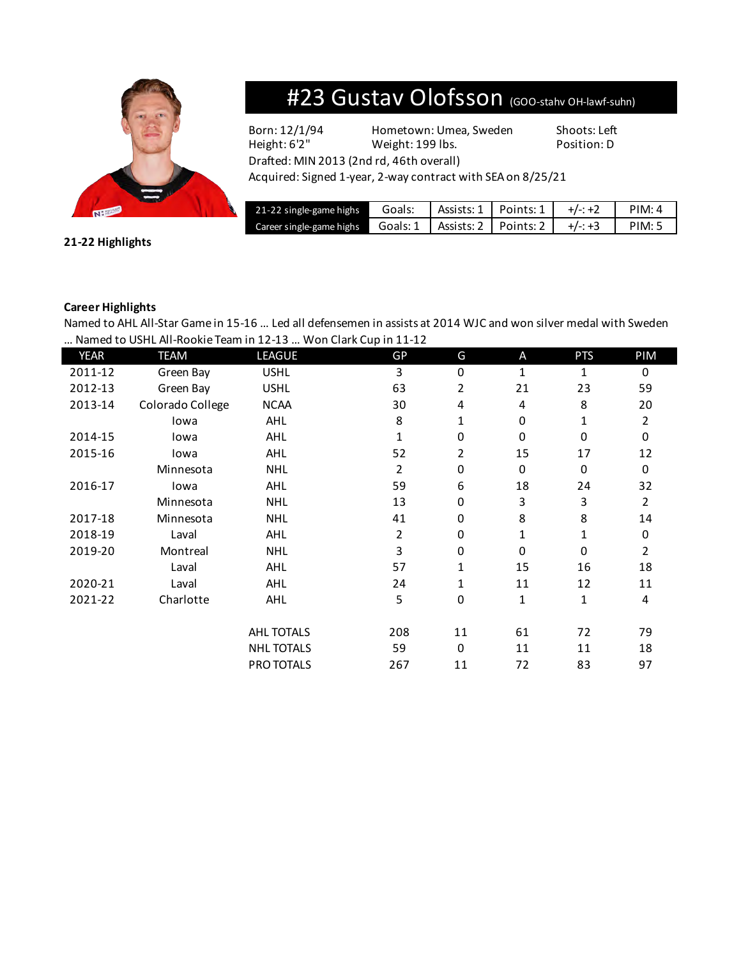

### #23 Gustav Olofsson (GOO-stahv OH-lawf-suhn)

Born: 12/1/94 Hometown: Umea, Sweden Shoots: Left Height: 6'2" Weight: 199 lbs. Position: D

Drafted: MIN 2013 (2nd rd, 46th overall)

Acquired: Signed 1-year, 2-way contract with SEA on 8/25/21

| 21-22 single-game highs                                                     | Goals: | Assists: 1   Points: 1 | $+/-: +2$ | PIM: 4 |
|-----------------------------------------------------------------------------|--------|------------------------|-----------|--------|
| Career single-game highs Goals: $1$   Assists: $2$   Points: $2$   $+/- +3$ |        |                        |           | PIM: 5 |

**21-22 Highlights**

#### **Career Highlights**

Named to AHL All-Star Game in 15-16 … Led all defensemen in assists at 2014 WJC and won silver medal with Sweden … Named to USHL All-Rookie Team in 12-13 … Won Clark Cup in 11-12

| <b>YEAR</b> | <b>TEAM</b>      | <b>LEAGUE</b>     | GP  | G           | A        | <b>PTS</b> | PIM            |
|-------------|------------------|-------------------|-----|-------------|----------|------------|----------------|
| 2011-12     | Green Bay        | <b>USHL</b>       | 3   | $\pmb{0}$   | 1        | 1          | 0              |
| 2012-13     | Green Bay        | <b>USHL</b>       | 63  | 2           | 21       | 23         | 59             |
| 2013-14     | Colorado College | <b>NCAA</b>       | 30  | 4           | 4        | 8          | 20             |
|             | lowa             | AHL               | 8   | $\mathbf 1$ | 0        | 1          | 2              |
| 2014-15     | Iowa             | AHL               | 1   | 0           | $\Omega$ | $\Omega$   | $\Omega$       |
| 2015-16     | Iowa             | AHL               | 52  | 2           | 15       | 17         | 12             |
|             | Minnesota        | <b>NHL</b>        | 2   | $\pmb{0}$   | 0        | 0          | 0              |
| 2016-17     | lowa             | AHL               | 59  | 6           | 18       | 24         | 32             |
|             | Minnesota        | <b>NHL</b>        | 13  | $\pmb{0}$   | 3        | 3          | $\overline{2}$ |
| 2017-18     | Minnesota        | <b>NHL</b>        | 41  | $\pmb{0}$   | 8        | 8          | 14             |
| 2018-19     | Laval            | AHL               | 2   | $\pmb{0}$   | 1        | 1          | 0              |
| 2019-20     | Montreal         | <b>NHL</b>        | 3   | $\mathbf 0$ | $\Omega$ | $\Omega$   | $\overline{2}$ |
|             | Laval            | AHL               | 57  | 1           | 15       | 16         | 18             |
| 2020-21     | Laval            | AHL               | 24  | 1           | 11       | 12         | 11             |
| 2021-22     | Charlotte        | AHL               | 5   | $\pmb{0}$   | 1        | 1          | 4              |
|             |                  |                   |     |             |          |            |                |
|             |                  | <b>AHL TOTALS</b> | 208 | 11          | 61       | 72         | 79             |
|             |                  | <b>NHL TOTALS</b> | 59  | $\pmb{0}$   | 11       | 11         | 18             |
|             |                  | PRO TOTALS        | 267 | 11          | 72       | 83         | 97             |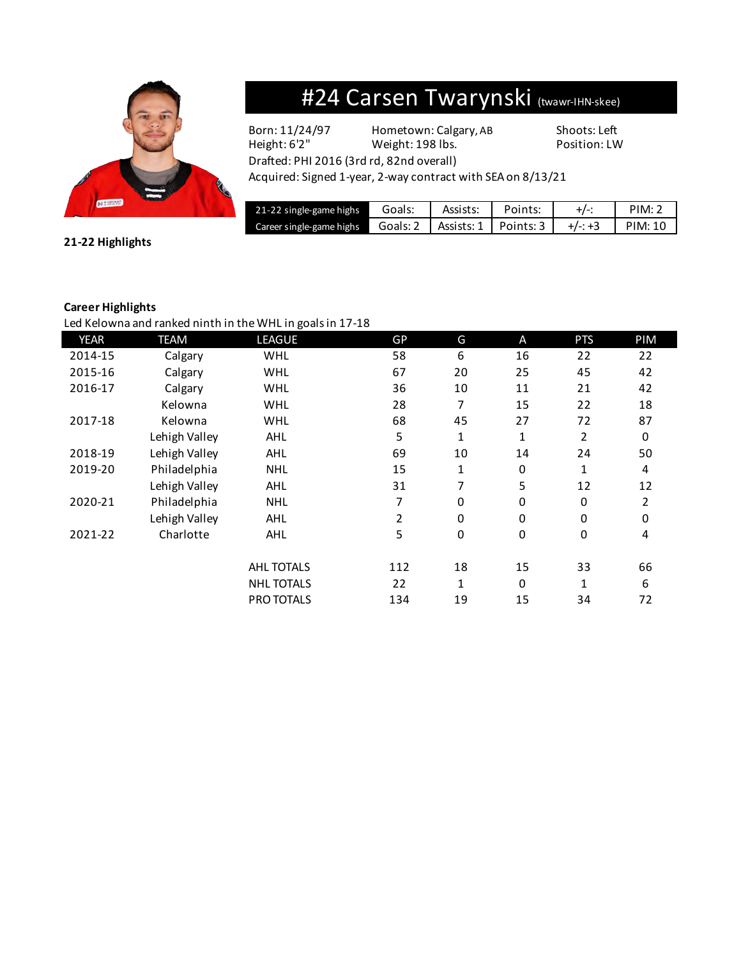

## #24 Carsen Twarynski (twawr-IHN-skee)

Drafted: PHI 2016 (3rd rd, 82nd overall)

Born: 11/24/97 Hometown: Calgary, AB Shoots: Left Height: 6'2" Weight: 198 lbs. Position: LW

Acquired: Signed 1-year, 2-way contract with SEA on 8/13/21

| 21-22 single-game highs  | Goals: | Assists:                                     | Points: | PIM:7              |
|--------------------------|--------|----------------------------------------------|---------|--------------------|
| Career single-game highs |        | Goals: 2   Assists: 1   Points: 3   $+/- +3$ |         | $\mathsf{PIM}: 10$ |

**21-22 Highlights**

#### **Career Highlights**

Led Kelowna and ranked ninth in the WHL in goals in 17-18

| <b>YEAR</b> | TEAM          | <b>LEAGUE</b>     | GP  | G           | A            | <b>PTS</b>   | PIM          |
|-------------|---------------|-------------------|-----|-------------|--------------|--------------|--------------|
| 2014-15     | Calgary       | WHL               | 58  | 6           | 16           | 22           | 22           |
| 2015-16     | Calgary       | <b>WHL</b>        | 67  | 20          | 25           | 45           | 42           |
| 2016-17     | Calgary       | WHL               | 36  | 10          | 11           | 21           | 42           |
|             | Kelowna       | WHL               | 28  | 7           | 15           | 22           | 18           |
| 2017-18     | Kelowna       | WHL               | 68  | 45          | 27           | 72           | 87           |
|             | Lehigh Valley | AHL               | 5   | 1           | $\mathbf{1}$ | 2            | $\mathbf{0}$ |
| 2018-19     | Lehigh Valley | AHL               | 69  | 10          | 14           | 24           | 50           |
| 2019-20     | Philadelphia  | <b>NHL</b>        | 15  | 1           | $\mathbf 0$  | 1            | 4            |
|             | Lehigh Valley | AHL               | 31  | 7           | 5            | 12           | 12           |
| 2020-21     | Philadelphia  | <b>NHL</b>        | 7   | $\mathbf 0$ | $\mathbf 0$  | 0            | 2            |
|             | Lehigh Valley | AHL               | 2   | $\mathbf 0$ | 0            | 0            | 0            |
| 2021-22     | Charlotte     | AHL               | 5   | $\mathbf 0$ | $\pmb{0}$    | 0            | 4            |
|             |               | <b>AHL TOTALS</b> | 112 | 18          | 15           | 33           | 66           |
|             |               | <b>NHL TOTALS</b> | 22  | 1           | $\mathbf 0$  | $\mathbf{1}$ | 6            |
|             |               |                   |     |             |              |              |              |
|             |               | <b>PRO TOTALS</b> | 134 | 19          | 15           | 34           | 72           |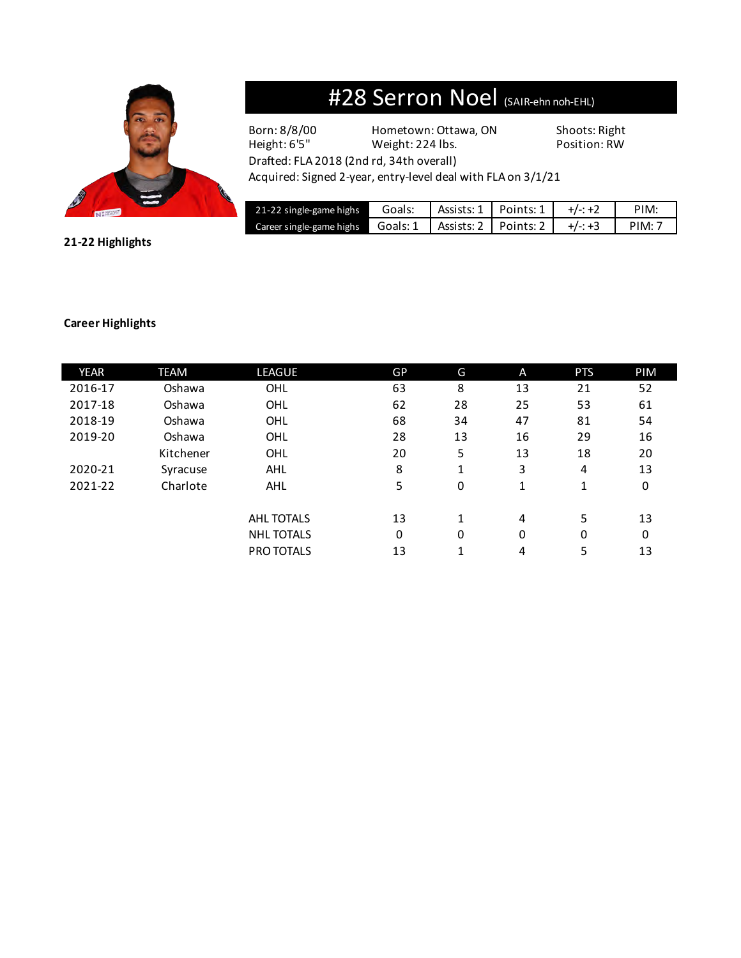

### #28 Serron Noel (SAIR-ehn noh-EHL)

Born: 8/8/00 Hometown: Ottawa, ON Shoots: Right<br>
Height: 6'5" Weight: 224 lbs. Position: RW Weight: 224 lbs.

Drafted: FLA 2018 (2nd rd, 34th overall)

Acquired: Signed 2-year, entry-level deal with FLA on 3/1/21

| 21-22 single-game highs           | Goals: | Assists: 1   Points: 1 | $+/-: +2$ | PIM <sup>.</sup> |
|-----------------------------------|--------|------------------------|-----------|------------------|
| Career single-game highs Goals: 1 |        | Assists: 2   Points: 2 | $+/-: +3$ | PIM:             |

**21-22 Highlights**

#### **Career Highlights**

| <b>YEAR</b> | <b>TEAM</b> | LEAGUE            | GP | G  | A  | <b>PTS</b> | PIM |
|-------------|-------------|-------------------|----|----|----|------------|-----|
| 2016-17     | Oshawa      | <b>OHL</b>        | 63 | 8  | 13 | 21         | 52  |
| 2017-18     | Oshawa      | <b>OHL</b>        | 62 | 28 | 25 | 53         | 61  |
| 2018-19     | Oshawa      | <b>OHL</b>        | 68 | 34 | 47 | 81         | 54  |
| 2019-20     | Oshawa      | <b>OHL</b>        | 28 | 13 | 16 | 29         | 16  |
|             | Kitchener   | <b>OHL</b>        | 20 | 5  | 13 | 18         | 20  |
| 2020-21     | Syracuse    | AHL               | 8  | 1  | 3  | 4          | 13  |
| 2021-22     | Charlote    | AHL               | 5  | 0  | 1  | 1          | 0   |
|             |             |                   |    |    |    |            |     |
|             |             | <b>AHL TOTALS</b> | 13 | 1  | 4  | 5          | 13  |
|             |             | <b>NHL TOTALS</b> | 0  | 0  | 0  | 0          | 0   |
|             |             | PRO TOTALS        | 13 | 1  | 4  | 5          | 13  |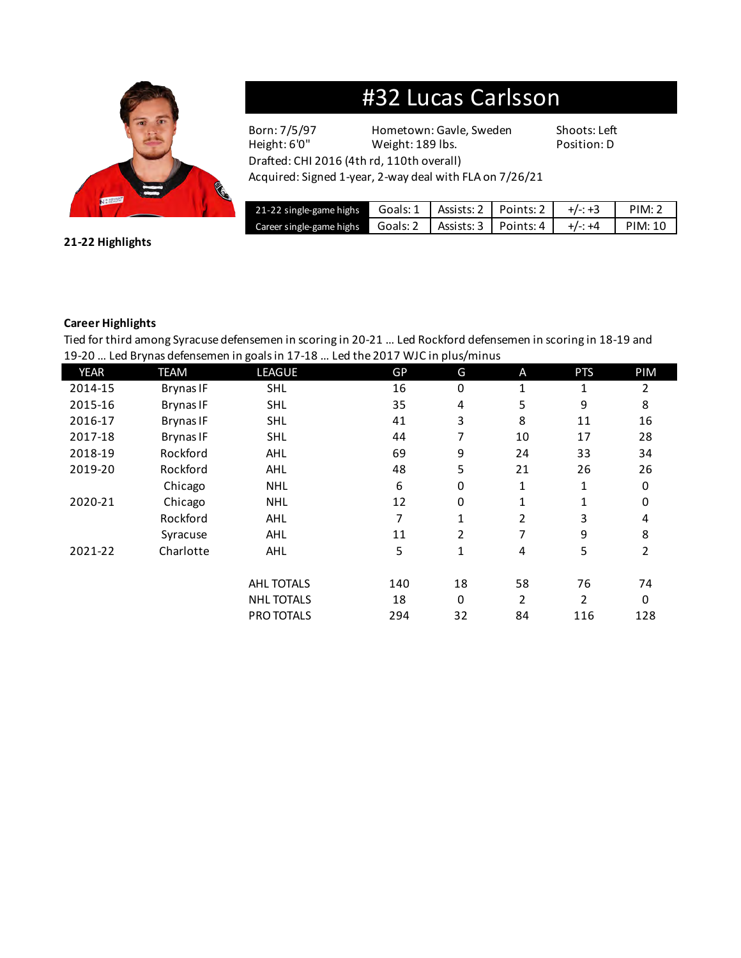

### #32 Lucas Carlsson

Born: 7/5/97 Hometown: Gavle, Sweden Shoots: Left<br>Height: 6'0" Weight: 189 lbs. Position: D Weight: 189 lbs. Position: D

Drafted: CHI 2016 (4th rd, 110th overall)

| Acquired: Signed 1-year, 2-way deal with FLA on 7/26/21 |  |  |
|---------------------------------------------------------|--|--|
|---------------------------------------------------------|--|--|

| 21-22 single-game highs Goals: 1   Assists: 2   Points: 2   $+/- +3$ |  |                                                       | PIM:2 |
|----------------------------------------------------------------------|--|-------------------------------------------------------|-------|
| Career single-game highs                                             |  | Goals: 2   Assists: 3   Points: 4   +/-: +4   PIM: 10 |       |

**21-22 Highlights**

#### **Career Highlights**

Tied for third among Syracuse defensemen in scoring in 20-21 … Led Rockford defensemen in scoring in 18-19 and 19-20 … Led Brynas defensemen in goals in 17-18 … Led the 2017 WJC in plus/minus

| <b>YEAR</b> | <b>TEAM</b>      | <b>LEAGUE</b>     | GP  | G  | A  | <b>PTS</b> | PIM |
|-------------|------------------|-------------------|-----|----|----|------------|-----|
| 2014-15     | <b>Brynas IF</b> | <b>SHL</b>        | 16  | 0  | 1  | 1          | 2   |
| 2015-16     | <b>Brynas IF</b> | <b>SHL</b>        | 35  | 4  | 5  | 9          | 8   |
| 2016-17     | <b>Brynas IF</b> | <b>SHL</b>        | 41  | 3  | 8  | 11         | 16  |
| 2017-18     | <b>Brynas IF</b> | <b>SHL</b>        | 44  | 7  | 10 | 17         | 28  |
| 2018-19     | Rockford         | AHL               | 69  | 9  | 24 | 33         | 34  |
| 2019-20     | Rockford         | AHL               | 48  | 5  | 21 | 26         | 26  |
|             | Chicago          | <b>NHL</b>        | 6   | 0  | 1  | 1          | 0   |
| 2020-21     | Chicago          | <b>NHL</b>        | 12  | 0  | 1  | 1          | 0   |
|             | Rockford         | AHL               | 7   | 1  | 2  | 3          | 4   |
|             | Syracuse         | AHL               | 11  | 2  | 7  | 9          | 8   |
| 2021-22     | Charlotte        | AHL               | 5   | 1  | 4  | 5          | 2   |
|             |                  | <b>AHL TOTALS</b> | 140 | 18 | 58 | 76         | 74  |
|             |                  | <b>NHL TOTALS</b> | 18  | 0  | 2  | 2          | 0   |
|             |                  | PRO TOTALS        | 294 | 32 | 84 | 116        | 128 |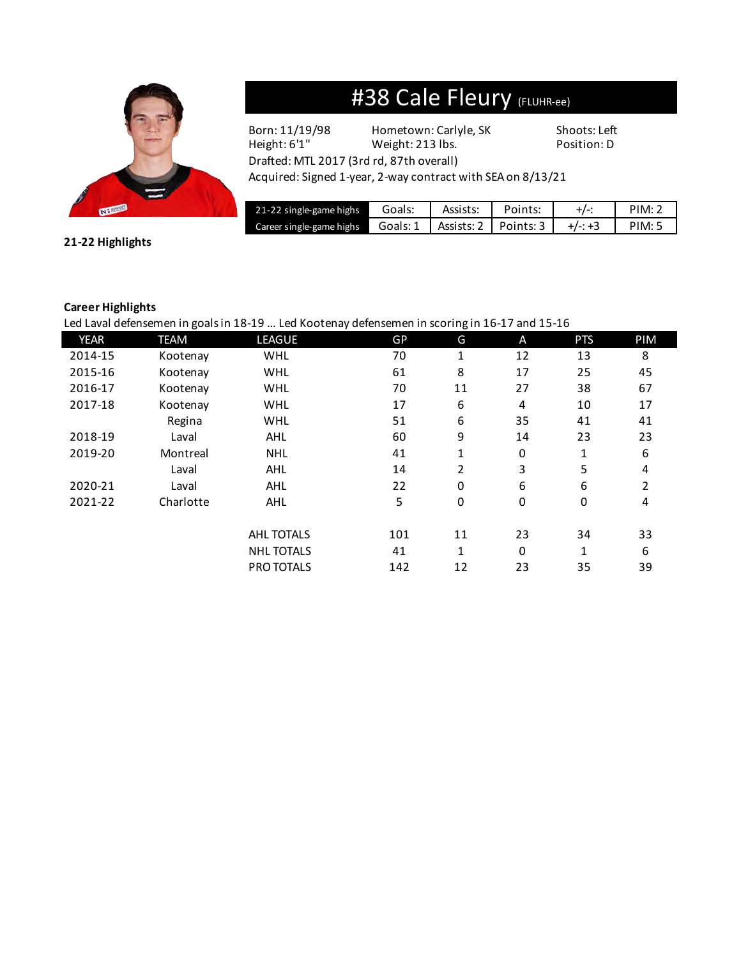

### #38 Cale Fleury (FLUHR-ee)

Drafted: MTL 2017 (3rd rd, 87th overall)

Born: 11/19/98 Hometown: Carlyle, SK Shoots: Left<br>
Height: 6'1" Weight: 213 lbs. Position: D Weight: 213 lbs. Position: D

Acquired: Signed 1-year, 2-way contract with SEA on 8/13/21

| 21-22 single-game highs  | Goals: | Assists:                          | Points: |          | PIM <sub>'</sub> |
|--------------------------|--------|-----------------------------------|---------|----------|------------------|
| Career single-game highs |        | Goals: 1   Assists: 2   Points: 3 |         | $+/- +3$ | PIM: 5           |

**21-22 Highlights**

#### **Career Highlights**

Led Laval defensemen in goals in 18-19 … Led Kootenay defensemen in scoring in 16-17 and 15-16

| <b>YEAR</b> | <b>TEAM</b> | <b>LEAGUE</b>     | GP  | G              | A  | <b>PTS</b>   | PIM |
|-------------|-------------|-------------------|-----|----------------|----|--------------|-----|
| 2014-15     | Kootenay    | <b>WHL</b>        | 70  | 1              | 12 | 13           | 8   |
| 2015-16     | Kootenay    | <b>WHL</b>        | 61  | 8              | 17 | 25           | 45  |
| 2016-17     | Kootenay    | <b>WHL</b>        | 70  | 11             | 27 | 38           | 67  |
| 2017-18     | Kootenay    | <b>WHL</b>        | 17  | 6              | 4  | 10           | 17  |
|             | Regina      | <b>WHL</b>        | 51  | 6              | 35 | 41           | 41  |
| 2018-19     | Laval       | AHL               | 60  | 9              | 14 | 23           | 23  |
| 2019-20     | Montreal    | <b>NHL</b>        | 41  | 1              | 0  | 1            | 6   |
|             | Laval       | AHL               | 14  | $\overline{2}$ | 3  | 5            | 4   |
| 2020-21     | Laval       | AHL               | 22  | 0              | 6  | 6            | 2   |
| 2021-22     | Charlotte   | AHL               | 5   | 0              | 0  | 0            | 4   |
|             |             | <b>AHL TOTALS</b> | 101 | 11             | 23 | 34           | 33  |
|             |             | <b>NHL TOTALS</b> | 41  | $\mathbf{1}$   | 0  | $\mathbf{1}$ | 6   |
|             |             | PRO TOTALS        | 142 | 12             | 23 | 35           | 39  |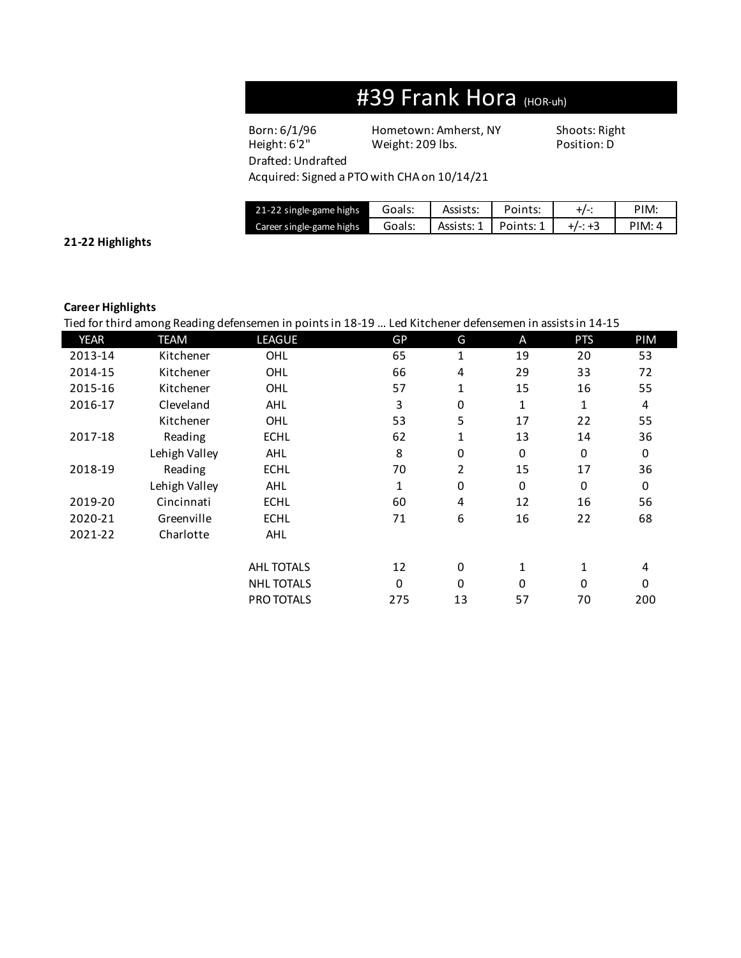### #39 Frank Hora (HOR-uh)

Drafted: Undrafted

Born: 6/1/96 Hometown: Amherst, NY Shoots: Right<br>
Height: 6'2" Weight: 209 lbs. Position: D Weight: 209 lbs.

Acquired: Signed a PTO with CHA on 10/14/21

| 21-22 single-game highs  | Goals: | Assists:               | Points: |          | PIM:   |
|--------------------------|--------|------------------------|---------|----------|--------|
| Career single-game highs | Goals: | Assists: 1   Points: 1 |         | $+/- +3$ | PIM: 4 |

#### **21-22 Highlights**

#### **Career Highlights**

Tied for third among Reading defensemen in points in 18-19 … Led Kitchener defensemen in assists in 14-15

| <b>YEAR</b> | <b>TEAM</b>   | <b>LEAGUE</b>     | GP           | G              | A           | <b>PTS</b> | PIM |
|-------------|---------------|-------------------|--------------|----------------|-------------|------------|-----|
| 2013-14     | Kitchener     | OHL               | 65           | 1              | 19          | 20         | 53  |
| 2014-15     | Kitchener     | OHL               | 66           | 4              | 29          | 33         | 72  |
| 2015-16     | Kitchener     | OHL               | 57           | 1              | 15          | 16         | 55  |
| 2016-17     | Cleveland     | AHL               | 3            | 0              | 1           | 1          | 4   |
|             | Kitchener     | OHL               | 53           | 5              | 17          | 22         | 55  |
| 2017-18     | Reading       | <b>ECHL</b>       | 62           | 1              | 13          | 14         | 36  |
|             | Lehigh Valley | AHL               | 8            | 0              | 0           | 0          | 0   |
| 2018-19     | Reading       | <b>ECHL</b>       | 70           | $\overline{2}$ | 15          | 17         | 36  |
|             | Lehigh Valley | AHL               | 1            | 0              | $\mathbf 0$ | 0          | 0   |
| 2019-20     | Cincinnati    | <b>ECHL</b>       | 60           | 4              | 12          | 16         | 56  |
| 2020-21     | Greenville    | <b>ECHL</b>       | 71           | 6              | 16          | 22         | 68  |
| 2021-22     | Charlotte     | AHL               |              |                |             |            |     |
|             |               | AHL TOTALS        | 12           | 0              | 1           | 1          | 4   |
|             |               | <b>NHL TOTALS</b> | $\mathbf{0}$ | 0              | 0           | 0          | 0   |
|             |               | PRO TOTALS        | 275          | 13             | 57          | 70         | 200 |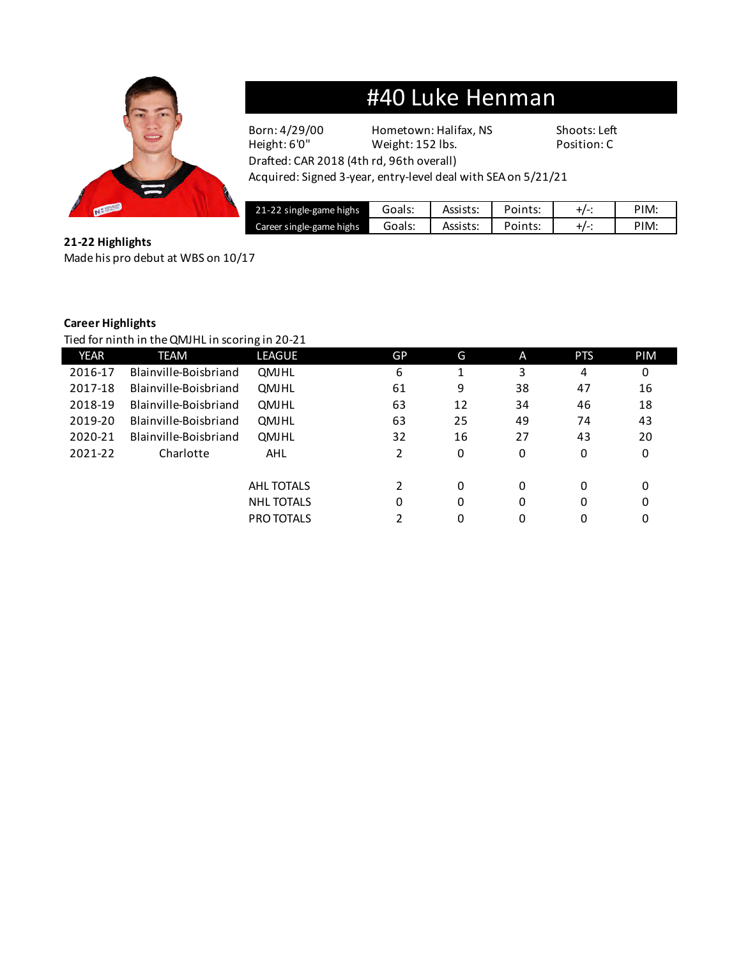

## #40 Luke Henman

Born: 4/29/00 Hometown: Halifax, NS Shoots: Left<br>
Height: 6'0" Weight: 152 lbs. Position: C Weight: 152 lbs. Position: C

Drafted: CAR 2018 (4th rd, 96th overall) Acquired: Signed 3-year, entry-level deal with SEA on 5/21/21

| 21-22 single-game highs  | Goals: | Assists: | Points: | PIM |
|--------------------------|--------|----------|---------|-----|
| Career single-game highs | Goals: | Assists: | Points: | 기M: |

### **21-22 Highlights**

Made his pro debut at WBS on 10/17

#### **Career Highlights**

Tied for ninth in the QMJHL in scoring in 20-21

| <b>YEAR</b> | <b>TEAM</b>           | LEAGUE            | GP | G       | A  | <b>PTS</b> | PIM |
|-------------|-----------------------|-------------------|----|---------|----|------------|-----|
| 2016-17     | Blainville-Boisbriand | <b>QMJHL</b>      | 6  | 1<br>Ŧ. | 3  | 4          | 0   |
| 2017-18     | Blainville-Boisbriand | <b>QMJHL</b>      | 61 | 9       | 38 | 47         | 16  |
| 2018-19     | Blainville-Boisbriand | <b>QMJHL</b>      | 63 | 12      | 34 | 46         | 18  |
| 2019-20     | Blainville-Boisbriand | <b>OMJHL</b>      | 63 | 25      | 49 | 74         | 43  |
| 2020-21     | Blainville-Boisbriand | <b>QMJHL</b>      | 32 | 16      | 27 | 43         | 20  |
| 2021-22     | Charlotte             | AHL               | 2  | 0       | 0  | 0          | 0   |
|             |                       |                   |    |         |    |            |     |
|             |                       | <b>AHL TOTALS</b> | 2  | 0       | 0  | 0          | 0   |
|             |                       | <b>NHL TOTALS</b> | 0  | 0       | 0  | 0          | 0   |
|             |                       | PRO TOTALS        | 2  | 0       | 0  | 0          | 0   |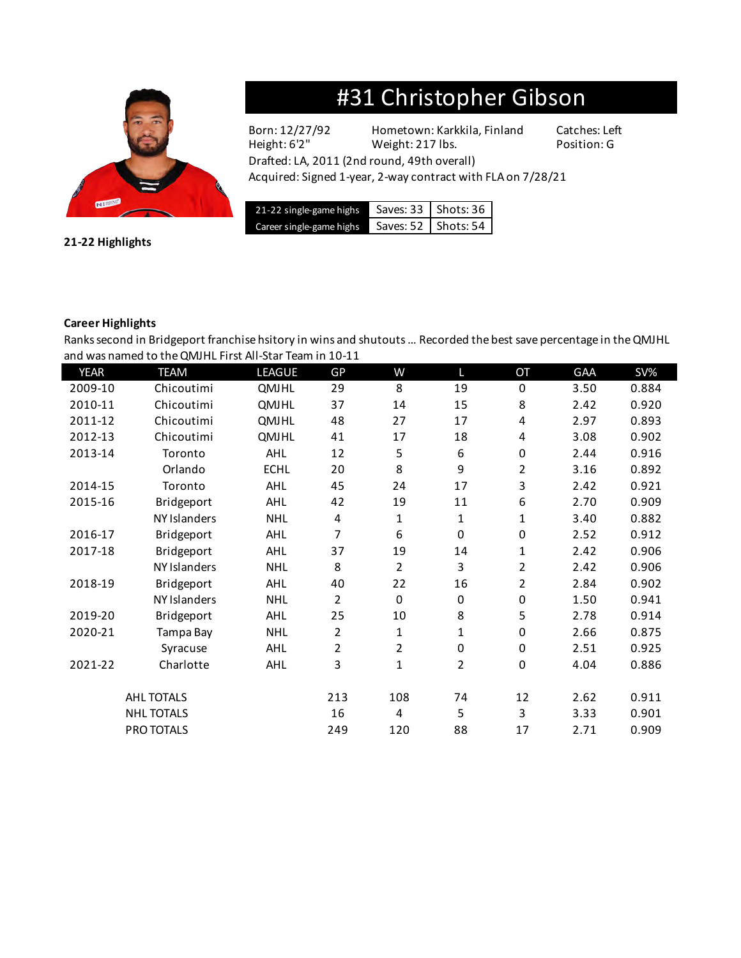

### #31 Christopher Gibson

Born: 12/27/92 Hometown: Karkkila, Finland Catches: Left Height: 6'2" Weight: 217 lbs. Position: G

Drafted: LA, 2011 (2nd round, 49th overall) Acquired: Signed 1-year, 2-way contract with FLA on 7/28/21

| 21-22 single-game highs  | Saves: 33   Shots: 36 |
|--------------------------|-----------------------|
| Career single-game highs | Saves: 52   Shots: 54 |

**21-22 Highlights**

#### **Career Highlights**

Ranks second in Bridgeport franchise hsitory in wins and shutouts … Recorded the best save percentage in the QMJHL and was named to the QMJHL First All-Star Team in 10-11

| <b>YEAR</b>       | <b>TEAM</b>         | <b>LEAGUE</b> | GP  | W              | L           | OT             | GAA  | SV%   |
|-------------------|---------------------|---------------|-----|----------------|-------------|----------------|------|-------|
| 2009-10           | Chicoutimi          | QMJHL         | 29  | 8              | 19          | 0              | 3.50 | 0.884 |
| 2010-11           | Chicoutimi          | QMJHL         | 37  | 14             | 15          | 8              | 2.42 | 0.920 |
| 2011-12           | Chicoutimi          | QMJHL         | 48  | 27             | 17          | 4              | 2.97 | 0.893 |
| 2012-13           | Chicoutimi          | QMJHL         | 41  | 17             | 18          | 4              | 3.08 | 0.902 |
| 2013-14           | Toronto             | <b>AHL</b>    | 12  | 5              | 6           | 0              | 2.44 | 0.916 |
|                   | Orlando             | <b>ECHL</b>   | 20  | 8              | 9           | $\overline{2}$ | 3.16 | 0.892 |
| 2014-15           | Toronto             | <b>AHL</b>    | 45  | 24             | 17          | 3              | 2.42 | 0.921 |
| 2015-16           | Bridgeport          | AHL           | 42  | 19             | 11          | 6              | 2.70 | 0.909 |
|                   | <b>NY Islanders</b> | <b>NHL</b>    | 4   | 1              | 1           | 1              | 3.40 | 0.882 |
| 2016-17           | Bridgeport          | AHL           | 7   | 6              | 0           | 0              | 2.52 | 0.912 |
| 2017-18           | Bridgeport          | AHL           | 37  | 19             | 14          | 1              | 2.42 | 0.906 |
|                   | <b>NY Islanders</b> | <b>NHL</b>    | 8   | $\overline{2}$ | 3           | $\overline{2}$ | 2.42 | 0.906 |
| 2018-19           | Bridgeport          | AHL           | 40  | 22             | 16          | 2              | 2.84 | 0.902 |
|                   | NY Islanders        | <b>NHL</b>    | 2   | $\Omega$       | 0           | 0              | 1.50 | 0.941 |
| 2019-20           | Bridgeport          | AHL           | 25  | 10             | 8           | 5              | 2.78 | 0.914 |
| 2020-21           | Tampa Bay           | <b>NHL</b>    | 2   | 1              | $\mathbf 1$ | 0              | 2.66 | 0.875 |
|                   | Syracuse            | AHL           | 2   | 2              | 0           | 0              | 2.51 | 0.925 |
| 2021-22           | Charlotte           | AHL           | 3   | 1              | 2           | $\mathbf 0$    | 4.04 | 0.886 |
|                   | <b>AHL TOTALS</b>   |               | 213 | 108            | 74          | 12             | 2.62 | 0.911 |
| <b>NHL TOTALS</b> |                     |               | 16  | 4              | 5           | 3              | 3.33 | 0.901 |
|                   | PRO TOTALS          |               | 249 | 120            | 88          | 17             | 2.71 | 0.909 |